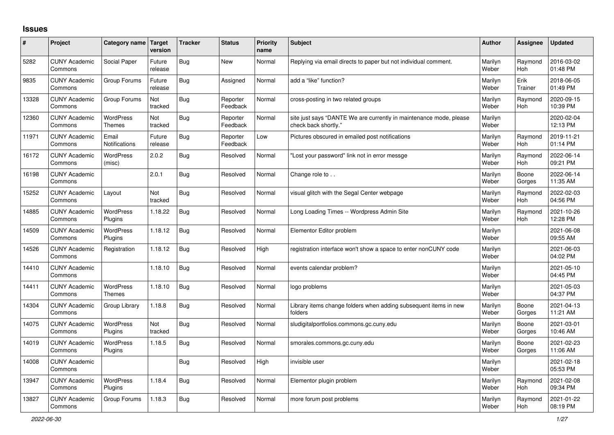## **Issues**

| ∦     | Project                         | Category name                     | <b>Target</b><br>version | <b>Tracker</b> | <b>Status</b>        | Priority<br>name | <b>Subject</b>                                                                             | <b>Author</b>    | Assignee              | Updated                |
|-------|---------------------------------|-----------------------------------|--------------------------|----------------|----------------------|------------------|--------------------------------------------------------------------------------------------|------------------|-----------------------|------------------------|
| 5282  | <b>CUNY Academic</b><br>Commons | Social Paper                      | Future<br>release        | <b>Bug</b>     | <b>New</b>           | Normal           | Replying via email directs to paper but not individual comment.                            | Marilyn<br>Weber | Raymond<br><b>Hoh</b> | 2016-03-02<br>01:48 PM |
| 9835  | <b>CUNY Academic</b><br>Commons | Group Forums                      | Future<br>release        | <b>Bug</b>     | Assigned             | Normal           | add a "like" function?                                                                     | Marilyn<br>Weber | Erik<br>Trainer       | 2018-06-05<br>01:49 PM |
| 13328 | <b>CUNY Academic</b><br>Commons | Group Forums                      | Not<br>tracked           | <b>Bug</b>     | Reporter<br>Feedback | Normal           | cross-posting in two related groups                                                        | Marilyn<br>Weber | Raymond<br><b>Hoh</b> | 2020-09-15<br>10:39 PM |
| 12360 | <b>CUNY Academic</b><br>Commons | <b>WordPress</b><br><b>Themes</b> | Not<br>tracked           | <b>Bug</b>     | Reporter<br>Feedback | Normal           | site just says "DANTE We are currently in maintenance mode, please<br>check back shortly." | Marilyn<br>Weber |                       | 2020-02-04<br>12:13 PM |
| 11971 | <b>CUNY Academic</b><br>Commons | Email<br>Notifications            | Future<br>release        | <b>Bug</b>     | Reporter<br>Feedback | Low              | Pictures obscured in emailed post notifications                                            | Marilyn<br>Weber | Raymond<br>Hoh        | 2019-11-21<br>01:14 PM |
| 16172 | <b>CUNY Academic</b><br>Commons | WordPress<br>(misc)               | 2.0.2                    | <b>Bug</b>     | Resolved             | Normal           | 'Lost your password" link not in error messge                                              | Marilyn<br>Weber | Raymond<br>Hoh        | 2022-06-14<br>09:21 PM |
| 16198 | <b>CUNY Academic</b><br>Commons |                                   | 2.0.1                    | <b>Bug</b>     | Resolved             | Normal           | Change role to                                                                             | Marilyn<br>Weber | Boone<br>Gorges       | 2022-06-14<br>11:35 AM |
| 15252 | <b>CUNY Academic</b><br>Commons | Layout                            | Not<br>tracked           | <b>Bug</b>     | Resolved             | Normal           | visual glitch with the Segal Center webpage                                                | Marilyn<br>Weber | Raymond<br>Hoh        | 2022-02-03<br>04:56 PM |
| 14885 | <b>CUNY Academic</b><br>Commons | <b>WordPress</b><br>Plugins       | 1.18.22                  | <b>Bug</b>     | Resolved             | Normal           | Long Loading Times -- Wordpress Admin Site                                                 | Marilyn<br>Weber | Raymond<br><b>Hoh</b> | 2021-10-26<br>12:28 PM |
| 14509 | <b>CUNY Academic</b><br>Commons | WordPress<br>Plugins              | 1.18.12                  | <b>Bug</b>     | Resolved             | Normal           | Elementor Editor problem                                                                   | Marilyn<br>Weber |                       | 2021-06-08<br>09:55 AM |
| 14526 | <b>CUNY Academic</b><br>Commons | Registration                      | 1.18.12                  | Bug            | Resolved             | High             | registration interface won't show a space to enter nonCUNY code                            | Marilyn<br>Weber |                       | 2021-06-03<br>04:02 PM |
| 14410 | <b>CUNY Academic</b><br>Commons |                                   | 1.18.10                  | Bug            | Resolved             | Normal           | events calendar problem?                                                                   | Marilyn<br>Weber |                       | 2021-05-10<br>04:45 PM |
| 14411 | <b>CUNY Academic</b><br>Commons | <b>WordPress</b><br><b>Themes</b> | 1.18.10                  | <b>Bug</b>     | Resolved             | Normal           | logo problems                                                                              | Marilyn<br>Weber |                       | 2021-05-03<br>04:37 PM |
| 14304 | <b>CUNY Academic</b><br>Commons | Group Library                     | 1.18.8                   | <b>Bug</b>     | Resolved             | Normal           | Library items change folders when adding subsequent items in new<br>folders                | Marilyn<br>Weber | Boone<br>Gorges       | 2021-04-13<br>11:21 AM |
| 14075 | <b>CUNY Academic</b><br>Commons | WordPress<br>Plugins              | Not<br>tracked           | Bug            | Resolved             | Normal           | sludigitalportfolios.commons.gc.cuny.edu                                                   | Marilyn<br>Weber | Boone<br>Gorges       | 2021-03-01<br>10:46 AM |
| 14019 | <b>CUNY Academic</b><br>Commons | WordPress<br>Plugins              | 1.18.5                   | <b>Bug</b>     | Resolved             | Normal           | smorales.commons.gc.cuny.edu                                                               | Marilyn<br>Weber | Boone<br>Gorges       | 2021-02-23<br>11:06 AM |
| 14008 | <b>CUNY Academic</b><br>Commons |                                   |                          | <b>Bug</b>     | Resolved             | High             | invisible user                                                                             | Marilyn<br>Weber |                       | 2021-02-18<br>05:53 PM |
| 13947 | <b>CUNY Academic</b><br>Commons | WordPress<br>Plugins              | 1.18.4                   | Bug            | Resolved             | Normal           | Elementor plugin problem                                                                   | Marilyn<br>Weber | Raymond<br>Hoh        | 2021-02-08<br>09:34 PM |
| 13827 | <b>CUNY Academic</b><br>Commons | Group Forums                      | 1.18.3                   | <b>Bug</b>     | Resolved             | Normal           | more forum post problems                                                                   | Marilyn<br>Weber | Raymond<br>Hoh        | 2021-01-22<br>08:19 PM |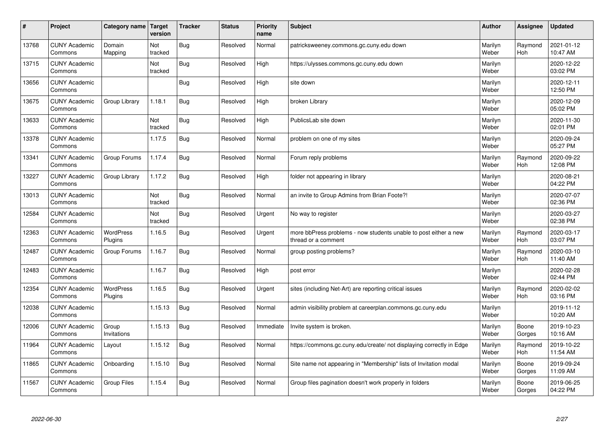| #     | Project                         | Category name Target        | version        | <b>Tracker</b> | <b>Status</b> | <b>Priority</b><br>name | <b>Subject</b>                                                                          | <b>Author</b>    | Assignee              | Updated                |
|-------|---------------------------------|-----------------------------|----------------|----------------|---------------|-------------------------|-----------------------------------------------------------------------------------------|------------------|-----------------------|------------------------|
| 13768 | <b>CUNY Academic</b><br>Commons | Domain<br>Mapping           | Not<br>tracked | Bug            | Resolved      | Normal                  | patricksweeney.commons.gc.cuny.edu down                                                 | Marilyn<br>Weber | Raymond<br><b>Hoh</b> | 2021-01-12<br>10:47 AM |
| 13715 | <b>CUNY Academic</b><br>Commons |                             | Not<br>tracked | <b>Bug</b>     | Resolved      | High                    | https://ulysses.commons.gc.cuny.edu down                                                | Marilyn<br>Weber |                       | 2020-12-22<br>03:02 PM |
| 13656 | <b>CUNY Academic</b><br>Commons |                             |                | Bug            | Resolved      | High                    | site down                                                                               | Marilyn<br>Weber |                       | 2020-12-11<br>12:50 PM |
| 13675 | <b>CUNY Academic</b><br>Commons | Group Library               | 1.18.1         | Bug            | Resolved      | High                    | broken Library                                                                          | Marilyn<br>Weber |                       | 2020-12-09<br>05:02 PM |
| 13633 | <b>CUNY Academic</b><br>Commons |                             | Not<br>tracked | Bug            | Resolved      | High                    | PublicsLab site down                                                                    | Marilyn<br>Weber |                       | 2020-11-30<br>02:01 PM |
| 13378 | <b>CUNY Academic</b><br>Commons |                             | 1.17.5         | <b>Bug</b>     | Resolved      | Normal                  | problem on one of my sites                                                              | Marilyn<br>Weber |                       | 2020-09-24<br>05:27 PM |
| 13341 | <b>CUNY Academic</b><br>Commons | Group Forums                | 1.17.4         | Bug            | Resolved      | Normal                  | Forum reply problems                                                                    | Marilyn<br>Weber | Raymond<br>Hoh        | 2020-09-22<br>12:08 PM |
| 13227 | <b>CUNY Academic</b><br>Commons | Group Library               | 1.17.2         | Bug            | Resolved      | High                    | folder not appearing in library                                                         | Marilyn<br>Weber |                       | 2020-08-21<br>04:22 PM |
| 13013 | <b>CUNY Academic</b><br>Commons |                             | Not<br>tracked | Bug            | Resolved      | Normal                  | an invite to Group Admins from Brian Foote?!                                            | Marilyn<br>Weber |                       | 2020-07-07<br>02:36 PM |
| 12584 | <b>CUNY Academic</b><br>Commons |                             | Not<br>tracked | Bug            | Resolved      | Urgent                  | No way to register                                                                      | Marilyn<br>Weber |                       | 2020-03-27<br>02:38 PM |
| 12363 | <b>CUNY Academic</b><br>Commons | <b>WordPress</b><br>Plugins | 1.16.5         | <b>Bug</b>     | Resolved      | Urgent                  | more bbPress problems - now students unable to post either a new<br>thread or a comment | Marilyn<br>Weber | Raymond<br>Hoh        | 2020-03-17<br>03:07 PM |
| 12487 | <b>CUNY Academic</b><br>Commons | Group Forums                | 1.16.7         | Bug            | Resolved      | Normal                  | group posting problems?                                                                 | Marilyn<br>Weber | Raymond<br>Hoh        | 2020-03-10<br>11:40 AM |
| 12483 | <b>CUNY Academic</b><br>Commons |                             | 1.16.7         | Bug            | Resolved      | High                    | post error                                                                              | Marilyn<br>Weber |                       | 2020-02-28<br>02:44 PM |
| 12354 | <b>CUNY Academic</b><br>Commons | <b>WordPress</b><br>Plugins | 1.16.5         | Bug            | Resolved      | Urgent                  | sites (including Net-Art) are reporting critical issues                                 | Marilyn<br>Weber | Raymond<br>Hoh        | 2020-02-02<br>03:16 PM |
| 12038 | <b>CUNY Academic</b><br>Commons |                             | 1.15.13        | <b>Bug</b>     | Resolved      | Normal                  | admin visibility problem at careerplan.commons.gc.cuny.edu                              | Marilyn<br>Weber |                       | 2019-11-12<br>10:20 AM |
| 12006 | <b>CUNY Academic</b><br>Commons | Group<br>Invitations        | 1.15.13        | <b>Bug</b>     | Resolved      | Immediate               | Invite system is broken.                                                                | Marilyn<br>Weber | Boone<br>Gorges       | 2019-10-23<br>10:16 AM |
| 11964 | <b>CUNY Academic</b><br>Commons | Layout                      | 1.15.12        | Bug            | Resolved      | Normal                  | https://commons.gc.cuny.edu/create/ not displaying correctly in Edge                    | Marilyn<br>Weber | Raymond<br>Hoh        | 2019-10-22<br>11:54 AM |
| 11865 | <b>CUNY Academic</b><br>Commons | Onboarding                  | 1.15.10        | Bug            | Resolved      | Normal                  | Site name not appearing in "Membership" lists of Invitation modal                       | Marilyn<br>Weber | Boone<br>Gorges       | 2019-09-24<br>11:09 AM |
| 11567 | <b>CUNY Academic</b><br>Commons | Group Files                 | 1.15.4         | Bug            | Resolved      | Normal                  | Group files pagination doesn't work properly in folders                                 | Marilyn<br>Weber | Boone<br>Gorges       | 2019-06-25<br>04:22 PM |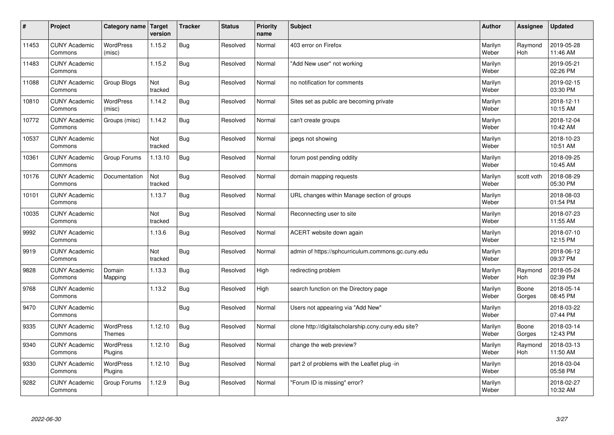| $\sharp$ | Project                         | Category name   Target      | version        | <b>Tracker</b> | <b>Status</b> | <b>Priority</b><br>name | <b>Subject</b>                                      | <b>Author</b>    | Assignee              | Updated                |
|----------|---------------------------------|-----------------------------|----------------|----------------|---------------|-------------------------|-----------------------------------------------------|------------------|-----------------------|------------------------|
| 11453    | <b>CUNY Academic</b><br>Commons | <b>WordPress</b><br>(misc)  | 1.15.2         | Bug            | Resolved      | Normal                  | 403 error on Firefox                                | Marilyn<br>Weber | Raymond<br><b>Hoh</b> | 2019-05-28<br>11:46 AM |
| 11483    | <b>CUNY Academic</b><br>Commons |                             | 1.15.2         | Bug            | Resolved      | Normal                  | 'Add New user" not working                          | Marilyn<br>Weber |                       | 2019-05-21<br>02:26 PM |
| 11088    | <b>CUNY Academic</b><br>Commons | Group Blogs                 | Not<br>tracked | Bug            | Resolved      | Normal                  | no notification for comments                        | Marilyn<br>Weber |                       | 2019-02-15<br>03:30 PM |
| 10810    | <b>CUNY Academic</b><br>Commons | WordPress<br>(misc)         | 1.14.2         | Bug            | Resolved      | Normal                  | Sites set as public are becoming private            | Marilyn<br>Weber |                       | 2018-12-11<br>10:15 AM |
| 10772    | <b>CUNY Academic</b><br>Commons | Groups (misc)               | 1.14.2         | Bug            | Resolved      | Normal                  | can't create groups                                 | Marilyn<br>Weber |                       | 2018-12-04<br>10:42 AM |
| 10537    | <b>CUNY Academic</b><br>Commons |                             | Not<br>tracked | Bug            | Resolved      | Normal                  | jpegs not showing                                   | Marilyn<br>Weber |                       | 2018-10-23<br>10:51 AM |
| 10361    | <b>CUNY Academic</b><br>Commons | Group Forums                | 1.13.10        | Bug            | Resolved      | Normal                  | forum post pending oddity                           | Marilyn<br>Weber |                       | 2018-09-25<br>10:45 AM |
| 10176    | <b>CUNY Academic</b><br>Commons | Documentation               | Not<br>tracked | <b>Bug</b>     | Resolved      | Normal                  | domain mapping requests                             | Marilyn<br>Weber | scott voth            | 2018-08-29<br>05:30 PM |
| 10101    | <b>CUNY Academic</b><br>Commons |                             | 1.13.7         | Bug            | Resolved      | Normal                  | URL changes within Manage section of groups         | Marilyn<br>Weber |                       | 2018-08-03<br>01:54 PM |
| 10035    | <b>CUNY Academic</b><br>Commons |                             | Not<br>tracked | Bug            | Resolved      | Normal                  | Reconnecting user to site                           | Marilyn<br>Weber |                       | 2018-07-23<br>11:55 AM |
| 9992     | <b>CUNY Academic</b><br>Commons |                             | 1.13.6         | Bug            | Resolved      | Normal                  | ACERT website down again                            | Marilyn<br>Weber |                       | 2018-07-10<br>12:15 PM |
| 9919     | <b>CUNY Academic</b><br>Commons |                             | Not<br>tracked | Bug            | Resolved      | Normal                  | admin of https://sphcurriculum.commons.gc.cuny.edu  | Marilyn<br>Weber |                       | 2018-06-12<br>09:37 PM |
| 9828     | <b>CUNY Academic</b><br>Commons | Domain<br>Mapping           | 1.13.3         | Bug            | Resolved      | High                    | redirecting problem                                 | Marilyn<br>Weber | Raymond<br>Hoh        | 2018-05-24<br>02:39 PM |
| 9768     | <b>CUNY Academic</b><br>Commons |                             | 1.13.2         | <b>Bug</b>     | Resolved      | High                    | search function on the Directory page               | Marilyn<br>Weber | Boone<br>Gorges       | 2018-05-14<br>08:45 PM |
| 9470     | <b>CUNY Academic</b><br>Commons |                             |                | Bug            | Resolved      | Normal                  | Users not appearing via "Add New"                   | Marilyn<br>Weber |                       | 2018-03-22<br>07:44 PM |
| 9335     | <b>CUNY Academic</b><br>Commons | WordPress<br><b>Themes</b>  | 1.12.10        | Bug            | Resolved      | Normal                  | clone http://digitalscholarship.ccny.cuny.edu site? | Marilyn<br>Weber | Boone<br>Gorges       | 2018-03-14<br>12:43 PM |
| 9340     | <b>CUNY Academic</b><br>Commons | <b>WordPress</b><br>Plugins | 1.12.10        | Bug            | Resolved      | Normal                  | change the web preview?                             | Marilyn<br>Weber | Raymond<br><b>Hoh</b> | 2018-03-13<br>11:50 AM |
| 9330     | <b>CUNY Academic</b><br>Commons | <b>WordPress</b><br>Plugins | 1.12.10        | <b>Bug</b>     | Resolved      | Normal                  | part 2 of problems with the Leaflet plug -in        | Marilyn<br>Weber |                       | 2018-03-04<br>05:58 PM |
| 9282     | <b>CUNY Academic</b><br>Commons | Group Forums                | 1.12.9         | <b>Bug</b>     | Resolved      | Normal                  | 'Forum ID is missing" error?                        | Marilyn<br>Weber |                       | 2018-02-27<br>10:32 AM |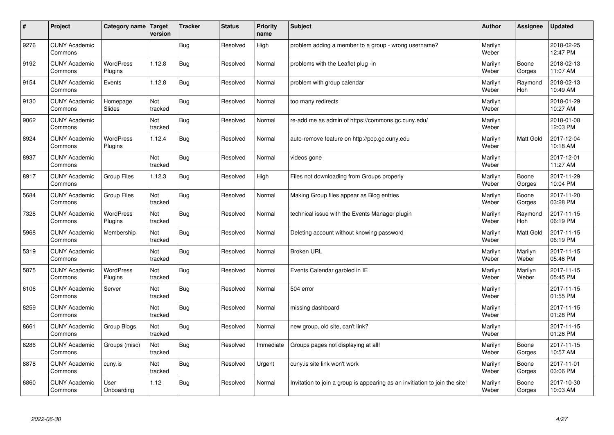| #    | Project                         | Category name   Target      | version        | <b>Tracker</b> | <b>Status</b> | <b>Priority</b><br>name | <b>Subject</b>                                                              | <b>Author</b>    | Assignee              | <b>Updated</b>         |
|------|---------------------------------|-----------------------------|----------------|----------------|---------------|-------------------------|-----------------------------------------------------------------------------|------------------|-----------------------|------------------------|
| 9276 | <b>CUNY Academic</b><br>Commons |                             |                | Bug            | Resolved      | High                    | problem adding a member to a group - wrong username?                        | Marilyn<br>Weber |                       | 2018-02-25<br>12:47 PM |
| 9192 | <b>CUNY Academic</b><br>Commons | <b>WordPress</b><br>Plugins | 1.12.8         | Bug            | Resolved      | Normal                  | problems with the Leaflet plug -in                                          | Marilyn<br>Weber | Boone<br>Gorges       | 2018-02-13<br>11:07 AM |
| 9154 | <b>CUNY Academic</b><br>Commons | Events                      | 1.12.8         | Bug            | Resolved      | Normal                  | problem with group calendar                                                 | Marilyn<br>Weber | Raymond<br>Hoh        | 2018-02-13<br>10:49 AM |
| 9130 | <b>CUNY Academic</b><br>Commons | Homepage<br>Slides          | Not<br>tracked | Bug            | Resolved      | Normal                  | too many redirects                                                          | Marilyn<br>Weber |                       | 2018-01-29<br>10:27 AM |
| 9062 | <b>CUNY Academic</b><br>Commons |                             | Not<br>tracked | <b>Bug</b>     | Resolved      | Normal                  | re-add me as admin of https://commons.gc.cuny.edu/                          | Marilyn<br>Weber |                       | 2018-01-08<br>12:03 PM |
| 8924 | <b>CUNY Academic</b><br>Commons | <b>WordPress</b><br>Plugins | 1.12.4         | <b>Bug</b>     | Resolved      | Normal                  | auto-remove feature on http://pcp.gc.cuny.edu                               | Marilyn<br>Weber | Matt Gold             | 2017-12-04<br>10:18 AM |
| 8937 | <b>CUNY Academic</b><br>Commons |                             | Not<br>tracked | Bug            | Resolved      | Normal                  | videos gone                                                                 | Marilyn<br>Weber |                       | 2017-12-01<br>11:27 AM |
| 8917 | <b>CUNY Academic</b><br>Commons | <b>Group Files</b>          | 1.12.3         | Bug            | Resolved      | High                    | Files not downloading from Groups properly                                  | Marilyn<br>Weber | Boone<br>Gorges       | 2017-11-29<br>10:04 PM |
| 5684 | <b>CUNY Academic</b><br>Commons | <b>Group Files</b>          | Not<br>tracked | Bug            | Resolved      | Normal                  | Making Group files appear as Blog entries                                   | Marilyn<br>Weber | Boone<br>Gorges       | 2017-11-20<br>03:28 PM |
| 7328 | <b>CUNY Academic</b><br>Commons | WordPress<br>Plugins        | Not<br>tracked | Bug            | Resolved      | Normal                  | technical issue with the Events Manager plugin                              | Marilyn<br>Weber | Raymond<br><b>Hoh</b> | 2017-11-15<br>06:19 PM |
| 5968 | <b>CUNY Academic</b><br>Commons | Membership                  | Not<br>tracked | <b>Bug</b>     | Resolved      | Normal                  | Deleting account without knowing password                                   | Marilyn<br>Weber | Matt Gold             | 2017-11-15<br>06:19 PM |
| 5319 | <b>CUNY Academic</b><br>Commons |                             | Not<br>tracked | <b>Bug</b>     | Resolved      | Normal                  | <b>Broken URL</b>                                                           | Marilyn<br>Weber | Marilyn<br>Weber      | 2017-11-15<br>05:46 PM |
| 5875 | <b>CUNY Academic</b><br>Commons | <b>WordPress</b><br>Plugins | Not<br>tracked | <b>Bug</b>     | Resolved      | Normal                  | Events Calendar garbled in IE                                               | Marilyn<br>Weber | Marilyn<br>Weber      | 2017-11-15<br>05:45 PM |
| 6106 | <b>CUNY Academic</b><br>Commons | Server                      | Not<br>tracked | Bug            | Resolved      | Normal                  | 504 error                                                                   | Marilyn<br>Weber |                       | 2017-11-15<br>01:55 PM |
| 8259 | <b>CUNY Academic</b><br>Commons |                             | Not<br>tracked | <b>Bug</b>     | Resolved      | Normal                  | missing dashboard                                                           | Marilyn<br>Weber |                       | 2017-11-15<br>01:28 PM |
| 8661 | <b>CUNY Academic</b><br>Commons | Group Blogs                 | Not<br>tracked | Bug            | Resolved      | Normal                  | new group, old site, can't link?                                            | Marilyn<br>Weber |                       | 2017-11-15<br>01:26 PM |
| 6286 | <b>CUNY Academic</b><br>Commons | Groups (misc)               | Not<br>tracked | <b>Bug</b>     | Resolved      | Immediate               | Groups pages not displaying at all!                                         | Marilyn<br>Weber | Boone<br>Gorges       | 2017-11-15<br>10:57 AM |
| 8878 | <b>CUNY Academic</b><br>Commons | cuny.is                     | Not<br>tracked | <b>Bug</b>     | Resolved      | Urgent                  | cuny.is site link won't work                                                | Marilyn<br>Weber | Boone<br>Gorges       | 2017-11-01<br>03:06 PM |
| 6860 | <b>CUNY Academic</b><br>Commons | User<br>Onboarding          | 1.12           | Bug            | Resolved      | Normal                  | Invitation to join a group is appearing as an invitiation to join the site! | Marilyn<br>Weber | Boone<br>Gorges       | 2017-10-30<br>10:03 AM |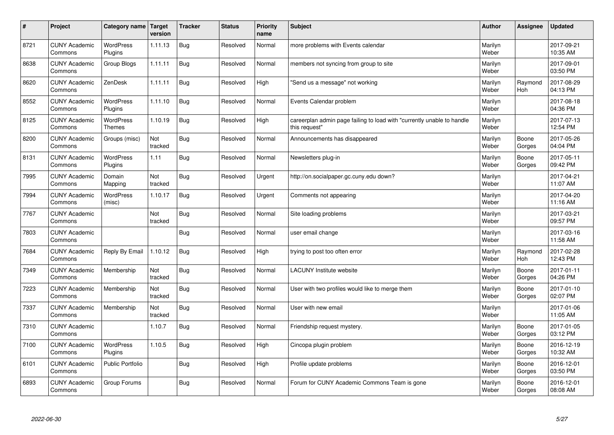| $\sharp$ | Project                         | Category name   Target            | version        | <b>Tracker</b> | <b>Status</b> | <b>Priority</b><br>name | <b>Subject</b>                                                                          | <b>Author</b>    | Assignee              | <b>Updated</b>         |
|----------|---------------------------------|-----------------------------------|----------------|----------------|---------------|-------------------------|-----------------------------------------------------------------------------------------|------------------|-----------------------|------------------------|
| 8721     | <b>CUNY Academic</b><br>Commons | <b>WordPress</b><br>Plugins       | 1.11.13        | <b>Bug</b>     | Resolved      | Normal                  | more problems with Events calendar                                                      | Marilyn<br>Weber |                       | 2017-09-21<br>10:35 AM |
| 8638     | <b>CUNY Academic</b><br>Commons | Group Blogs                       | 1.11.11        | Bug            | Resolved      | Normal                  | members not syncing from group to site                                                  | Marilyn<br>Weber |                       | 2017-09-01<br>03:50 PM |
| 8620     | <b>CUNY Academic</b><br>Commons | ZenDesk                           | 1.11.11        | <b>Bug</b>     | Resolved      | High                    | 'Send us a message" not working                                                         | Marilyn<br>Weber | Raymond<br>Hoh        | 2017-08-29<br>04:13 PM |
| 8552     | <b>CUNY Academic</b><br>Commons | <b>WordPress</b><br>Plugins       | 1.11.10        | <b>Bug</b>     | Resolved      | Normal                  | Events Calendar problem                                                                 | Marilyn<br>Weber |                       | 2017-08-18<br>04:36 PM |
| 8125     | <b>CUNY Academic</b><br>Commons | <b>WordPress</b><br><b>Themes</b> | 1.10.19        | Bug            | Resolved      | High                    | careerplan admin page failing to load with "currently unable to handle<br>this request" | Marilyn<br>Weber |                       | 2017-07-13<br>12:54 PM |
| 8200     | <b>CUNY Academic</b><br>Commons | Groups (misc)                     | Not<br>tracked | <b>Bug</b>     | Resolved      | Normal                  | Announcements has disappeared                                                           | Marilyn<br>Weber | Boone<br>Gorges       | 2017-05-26<br>04:04 PM |
| 8131     | <b>CUNY Academic</b><br>Commons | <b>WordPress</b><br>Plugins       | 1.11           | Bug            | Resolved      | Normal                  | Newsletters plug-in                                                                     | Marilyn<br>Weber | Boone<br>Gorges       | 2017-05-11<br>09:42 PM |
| 7995     | <b>CUNY Academic</b><br>Commons | Domain<br>Mapping                 | Not<br>tracked | <b>Bug</b>     | Resolved      | Urgent                  | http://on.socialpaper.gc.cuny.edu down?                                                 | Marilyn<br>Weber |                       | 2017-04-21<br>11:07 AM |
| 7994     | <b>CUNY Academic</b><br>Commons | WordPress<br>(misc)               | 1.10.17        | <b>Bug</b>     | Resolved      | Urgent                  | Comments not appearing                                                                  | Marilyn<br>Weber |                       | 2017-04-20<br>11:16 AM |
| 7767     | <b>CUNY Academic</b><br>Commons |                                   | Not<br>tracked | Bug            | Resolved      | Normal                  | Site loading problems                                                                   | Marilyn<br>Weber |                       | 2017-03-21<br>09:57 PM |
| 7803     | <b>CUNY Academic</b><br>Commons |                                   |                | <b>Bug</b>     | Resolved      | Normal                  | user email change                                                                       | Marilyn<br>Weber |                       | 2017-03-16<br>11:58 AM |
| 7684     | <b>CUNY Academic</b><br>Commons | Reply By Email                    | 1.10.12        | Bug            | Resolved      | High                    | trying to post too often error                                                          | Marilyn<br>Weber | Raymond<br><b>Hoh</b> | 2017-02-28<br>12:43 PM |
| 7349     | <b>CUNY Academic</b><br>Commons | Membership                        | Not<br>tracked | Bug            | Resolved      | Normal                  | <b>LACUNY</b> Institute website                                                         | Marilyn<br>Weber | Boone<br>Gorges       | 2017-01-11<br>04:26 PM |
| 7223     | <b>CUNY Academic</b><br>Commons | Membership                        | Not<br>tracked | Bug            | Resolved      | Normal                  | User with two profiles would like to merge them                                         | Marilyn<br>Weber | Boone<br>Gorges       | 2017-01-10<br>02:07 PM |
| 7337     | <b>CUNY Academic</b><br>Commons | Membership                        | Not<br>tracked | Bug            | Resolved      | Normal                  | User with new email                                                                     | Marilyn<br>Weber |                       | 2017-01-06<br>11:05 AM |
| 7310     | <b>CUNY Academic</b><br>Commons |                                   | 1.10.7         | Bug            | Resolved      | Normal                  | Friendship request mystery.                                                             | Marilyn<br>Weber | Boone<br>Gorges       | 2017-01-05<br>03:12 PM |
| 7100     | <b>CUNY Academic</b><br>Commons | WordPress<br>Plugins              | 1.10.5         | Bug            | Resolved      | High                    | Cincopa plugin problem                                                                  | Marilyn<br>Weber | Boone<br>Gorges       | 2016-12-19<br>10:32 AM |
| 6101     | <b>CUNY Academic</b><br>Commons | Public Portfolio                  |                | <b>Bug</b>     | Resolved      | High                    | Profile update problems                                                                 | Marilyn<br>Weber | Boone<br>Gorges       | 2016-12-01<br>03:50 PM |
| 6893     | <b>CUNY Academic</b><br>Commons | Group Forums                      |                | Bug            | Resolved      | Normal                  | Forum for CUNY Academic Commons Team is gone                                            | Marilyn<br>Weber | Boone<br>Gorges       | 2016-12-01<br>08:08 AM |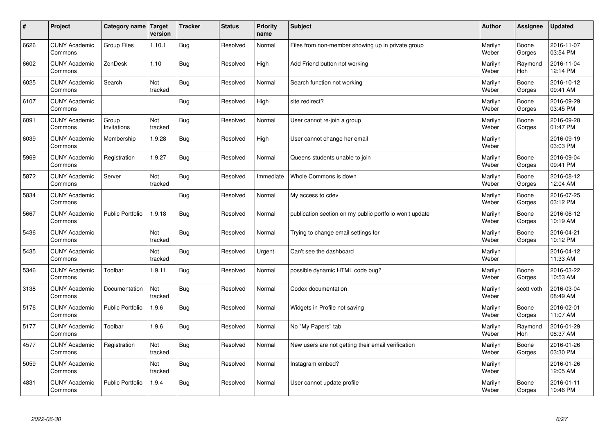| $\sharp$ | Project                         | Category name   Target  | version        | <b>Tracker</b> | <b>Status</b> | <b>Priority</b><br>name | <b>Subject</b>                                          | <b>Author</b>    | Assignee              | <b>Updated</b>         |
|----------|---------------------------------|-------------------------|----------------|----------------|---------------|-------------------------|---------------------------------------------------------|------------------|-----------------------|------------------------|
| 6626     | <b>CUNY Academic</b><br>Commons | Group Files             | 1.10.1         | Bug            | Resolved      | Normal                  | Files from non-member showing up in private group       | Marilyn<br>Weber | Boone<br>Gorges       | 2016-11-07<br>03:54 PM |
| 6602     | <b>CUNY Academic</b><br>Commons | ZenDesk                 | 1.10           | Bug            | Resolved      | High                    | Add Friend button not working                           | Marilyn<br>Weber | Raymond<br>Hoh        | 2016-11-04<br>12:14 PM |
| 6025     | <b>CUNY Academic</b><br>Commons | Search                  | Not<br>tracked | Bug            | Resolved      | Normal                  | Search function not working                             | Marilyn<br>Weber | Boone<br>Gorges       | 2016-10-12<br>09:41 AM |
| 6107     | <b>CUNY Academic</b><br>Commons |                         |                | Bug            | Resolved      | High                    | site redirect?                                          | Marilyn<br>Weber | Boone<br>Gorges       | 2016-09-29<br>03:45 PM |
| 6091     | <b>CUNY Academic</b><br>Commons | Group<br>Invitations    | Not<br>tracked | <b>Bug</b>     | Resolved      | Normal                  | User cannot re-join a group                             | Marilyn<br>Weber | Boone<br>Gorges       | 2016-09-28<br>01:47 PM |
| 6039     | <b>CUNY Academic</b><br>Commons | Membership              | 1.9.28         | Bug            | Resolved      | High                    | User cannot change her email                            | Marilyn<br>Weber |                       | 2016-09-19<br>03:03 PM |
| 5969     | <b>CUNY Academic</b><br>Commons | Registration            | 1.9.27         | Bug            | Resolved      | Normal                  | Queens students unable to join                          | Marilyn<br>Weber | Boone<br>Gorges       | 2016-09-04<br>09:41 PM |
| 5872     | <b>CUNY Academic</b><br>Commons | Server                  | Not<br>tracked | Bug            | Resolved      | Immediate               | Whole Commons is down                                   | Marilyn<br>Weber | Boone<br>Gorges       | 2016-08-12<br>12:04 AM |
| 5834     | <b>CUNY Academic</b><br>Commons |                         |                | Bug            | Resolved      | Normal                  | My access to cdev                                       | Marilyn<br>Weber | Boone<br>Gorges       | 2016-07-25<br>03:12 PM |
| 5667     | <b>CUNY Academic</b><br>Commons | <b>Public Portfolio</b> | 1.9.18         | Bug            | Resolved      | Normal                  | publication section on my public portfolio won't update | Marilyn<br>Weber | Boone<br>Gorges       | 2016-06-12<br>10:19 AM |
| 5436     | <b>CUNY Academic</b><br>Commons |                         | Not<br>tracked | Bug            | Resolved      | Normal                  | Trying to change email settings for                     | Marilyn<br>Weber | Boone<br>Gorges       | 2016-04-21<br>10:12 PM |
| 5435     | <b>CUNY Academic</b><br>Commons |                         | Not<br>tracked | Bug            | Resolved      | Urgent                  | Can't see the dashboard                                 | Marilyn<br>Weber |                       | 2016-04-12<br>11:33 AM |
| 5346     | <b>CUNY Academic</b><br>Commons | Toolbar                 | 1.9.11         | Bug            | Resolved      | Normal                  | possible dynamic HTML code bug?                         | Marilyn<br>Weber | Boone<br>Gorges       | 2016-03-22<br>10:53 AM |
| 3138     | <b>CUNY Academic</b><br>Commons | Documentation           | Not<br>tracked | <b>Bug</b>     | Resolved      | Normal                  | Codex documentation                                     | Marilyn<br>Weber | scott voth            | 2016-03-04<br>08:49 AM |
| 5176     | <b>CUNY Academic</b><br>Commons | <b>Public Portfolio</b> | 1.9.6          | Bug            | Resolved      | Normal                  | Widgets in Profile not saving                           | Marilyn<br>Weber | Boone<br>Gorges       | 2016-02-01<br>11:07 AM |
| 5177     | <b>CUNY Academic</b><br>Commons | Toolbar                 | 1.9.6          | <b>Bug</b>     | Resolved      | Normal                  | No "My Papers" tab                                      | Marilyn<br>Weber | Raymond<br><b>Hoh</b> | 2016-01-29<br>08:37 AM |
| 4577     | <b>CUNY Academic</b><br>Commons | Registration            | Not<br>tracked | Bug            | Resolved      | Normal                  | New users are not getting their email verification      | Marilyn<br>Weber | Boone<br>Gorges       | 2016-01-26<br>03:30 PM |
| 5059     | <b>CUNY Academic</b><br>Commons |                         | Not<br>tracked | <b>Bug</b>     | Resolved      | Normal                  | Instagram embed?                                        | Marilyn<br>Weber |                       | 2016-01-26<br>12:05 AM |
| 4831     | <b>CUNY Academic</b><br>Commons | <b>Public Portfolio</b> | 1.9.4          | <b>Bug</b>     | Resolved      | Normal                  | User cannot update profile                              | Marilyn<br>Weber | Boone<br>Gorges       | 2016-01-11<br>10:46 PM |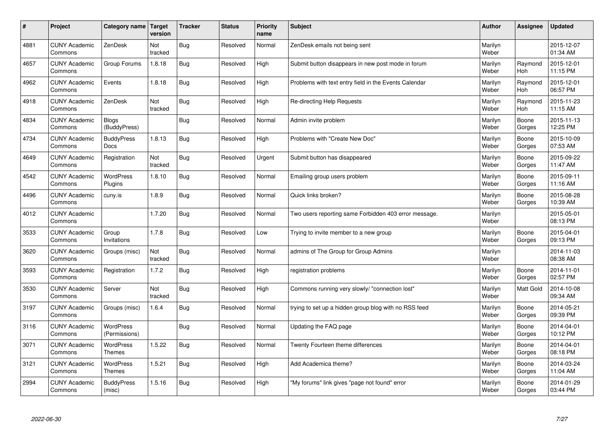| #    | Project                         | <b>Category name</b>              | Target<br>version | <b>Tracker</b> | <b>Status</b> | <b>Priority</b><br>name | <b>Subject</b>                                        | <b>Author</b>    | <b>Assignee</b> | <b>Updated</b>         |
|------|---------------------------------|-----------------------------------|-------------------|----------------|---------------|-------------------------|-------------------------------------------------------|------------------|-----------------|------------------------|
| 4881 | <b>CUNY Academic</b><br>Commons | ZenDesk                           | Not<br>tracked    | <b>Bug</b>     | Resolved      | Normal                  | ZenDesk emails not being sent                         | Marilyn<br>Weber |                 | 2015-12-07<br>01:34 AM |
| 4657 | <b>CUNY Academic</b><br>Commons | Group Forums                      | 1.8.18            | Bug            | Resolved      | High                    | Submit button disappears in new post mode in forum    | Marilyn<br>Weber | Raymond<br>Hoh  | 2015-12-01<br>11:15 PM |
| 4962 | <b>CUNY Academic</b><br>Commons | Events                            | 1.8.18            | <b>Bug</b>     | Resolved      | High                    | Problems with text entry field in the Events Calendar | Marilyn<br>Weber | Raymond<br>Hoh  | 2015-12-01<br>06:57 PM |
| 4918 | <b>CUNY Academic</b><br>Commons | ZenDesk                           | Not<br>tracked    | <b>Bug</b>     | Resolved      | High                    | Re-directing Help Requests                            | Marilyn<br>Weber | Raymond<br>Hoh  | 2015-11-23<br>11:15 AM |
| 4834 | <b>CUNY Academic</b><br>Commons | <b>Blogs</b><br>(BuddyPress)      |                   | <b>Bug</b>     | Resolved      | Normal                  | Admin invite problem                                  | Marilyn<br>Weber | Boone<br>Gorges | 2015-11-13<br>12:25 PM |
| 4734 | <b>CUNY Academic</b><br>Commons | <b>BuddyPress</b><br><b>Docs</b>  | 1.8.13            | <b>Bug</b>     | Resolved      | High                    | Problems with "Create New Doc"                        | Marilyn<br>Weber | Boone<br>Gorges | 2015-10-09<br>07:53 AM |
| 4649 | <b>CUNY Academic</b><br>Commons | Registration                      | Not<br>tracked    | <b>Bug</b>     | Resolved      | Urgent                  | Submit button has disappeared                         | Marilyn<br>Weber | Boone<br>Gorges | 2015-09-22<br>11:47 AM |
| 4542 | <b>CUNY Academic</b><br>Commons | WordPress<br>Plugins              | 1.8.10            | <b>Bug</b>     | Resolved      | Normal                  | Emailing group users problem                          | Marilyn<br>Weber | Boone<br>Gorges | 2015-09-11<br>11:16 AM |
| 4496 | <b>CUNY Academic</b><br>Commons | cuny.is                           | 1.8.9             | Bug            | Resolved      | Normal                  | Quick links broken?                                   | Marilyn<br>Weber | Boone<br>Gorges | 2015-08-28<br>10:39 AM |
| 4012 | <b>CUNY Academic</b><br>Commons |                                   | 1.7.20            | <b>Bug</b>     | Resolved      | Normal                  | Two users reporting same Forbidden 403 error message. | Marilyn<br>Weber |                 | 2015-05-01<br>08:13 PM |
| 3533 | <b>CUNY Academic</b><br>Commons | Group<br>Invitations              | 1.7.8             | <b>Bug</b>     | Resolved      | Low                     | Trying to invite member to a new group                | Marilyn<br>Weber | Boone<br>Gorges | 2015-04-01<br>09:13 PM |
| 3620 | <b>CUNY Academic</b><br>Commons | Groups (misc)                     | Not<br>tracked    | Bug            | Resolved      | Normal                  | admins of The Group for Group Admins                  | Marilyn<br>Weber |                 | 2014-11-03<br>08:38 AM |
| 3593 | <b>CUNY Academic</b><br>Commons | Registration                      | 1.7.2             | Bug            | Resolved      | High                    | registration problems                                 | Marilyn<br>Weber | Boone<br>Gorges | 2014-11-01<br>02:57 PM |
| 3530 | <b>CUNY Academic</b><br>Commons | Server                            | Not<br>tracked    | <b>Bug</b>     | Resolved      | High                    | Commons running very slowly/ "connection lost"        | Marilyn<br>Weber | Matt Gold       | 2014-10-08<br>09:34 AM |
| 3197 | <b>CUNY Academic</b><br>Commons | Groups (misc)                     | 1.6.4             | <b>Bug</b>     | Resolved      | Normal                  | trying to set up a hidden group blog with no RSS feed | Marilyn<br>Weber | Boone<br>Gorges | 2014-05-21<br>09:39 PM |
| 3116 | <b>CUNY Academic</b><br>Commons | <b>WordPress</b><br>(Permissions) |                   | <b>Bug</b>     | Resolved      | Normal                  | Updating the FAQ page                                 | Marilyn<br>Weber | Boone<br>Gorges | 2014-04-01<br>10:12 PM |
| 3071 | <b>CUNY Academic</b><br>Commons | WordPress<br>Themes               | 1.5.22            | <b>Bug</b>     | Resolved      | Normal                  | Twenty Fourteen theme differences                     | Marilyn<br>Weber | Boone<br>Gorges | 2014-04-01<br>08:18 PM |
| 3121 | <b>CUNY Academic</b><br>Commons | <b>WordPress</b><br><b>Themes</b> | 1.5.21            | <b>Bug</b>     | Resolved      | High                    | Add Academica theme?                                  | Marilyn<br>Weber | Boone<br>Gorges | 2014-03-24<br>11:04 AM |
| 2994 | <b>CUNY Academic</b><br>Commons | <b>BuddyPress</b><br>(misc)       | 1.5.16            | Bug            | Resolved      | High                    | "My forums" link gives "page not found" error         | Marilyn<br>Weber | Boone<br>Gorges | 2014-01-29<br>03:44 PM |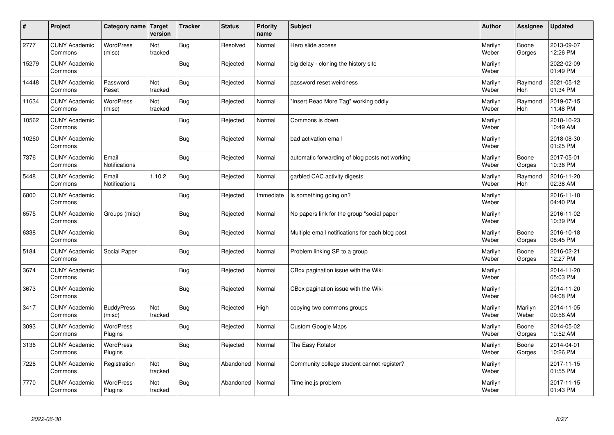| $\sharp$ | Project                         | Category name   Target        | version        | <b>Tracker</b> | <b>Status</b> | <b>Priority</b><br>name | <b>Subject</b>                                  | <b>Author</b>    | Assignee              | <b>Updated</b>         |
|----------|---------------------------------|-------------------------------|----------------|----------------|---------------|-------------------------|-------------------------------------------------|------------------|-----------------------|------------------------|
| 2777     | <b>CUNY Academic</b><br>Commons | <b>WordPress</b><br>(misc)    | Not<br>tracked | Bug            | Resolved      | Normal                  | Hero slide access                               | Marilyn<br>Weber | Boone<br>Gorges       | 2013-09-07<br>12:26 PM |
| 15279    | <b>CUNY Academic</b><br>Commons |                               |                | Bug            | Rejected      | Normal                  | big delay - cloning the history site            | Marilyn<br>Weber |                       | 2022-02-09<br>01:49 PM |
| 14448    | <b>CUNY Academic</b><br>Commons | Password<br>Reset             | Not<br>tracked | Bug            | Rejected      | Normal                  | password reset weirdness                        | Marilyn<br>Weber | Raymond<br><b>Hoh</b> | 2021-05-12<br>01:34 PM |
| 11634    | <b>CUNY Academic</b><br>Commons | <b>WordPress</b><br>(misc)    | Not<br>tracked | Bug            | Rejected      | Normal                  | 'Insert Read More Tag" working oddly            | Marilyn<br>Weber | Raymond<br><b>Hoh</b> | 2019-07-15<br>11:48 PM |
| 10562    | <b>CUNY Academic</b><br>Commons |                               |                | Bug            | Rejected      | Normal                  | Commons is down                                 | Marilyn<br>Weber |                       | 2018-10-23<br>10:49 AM |
| 10260    | <b>CUNY Academic</b><br>Commons |                               |                | Bug            | Rejected      | Normal                  | bad activation email                            | Marilyn<br>Weber |                       | 2018-08-30<br>01:25 PM |
| 7376     | <b>CUNY Academic</b><br>Commons | Email<br><b>Notifications</b> |                | Bug            | Rejected      | Normal                  | automatic forwarding of blog posts not working  | Marilyn<br>Weber | Boone<br>Gorges       | 2017-05-01<br>10:36 PM |
| 5448     | <b>CUNY Academic</b><br>Commons | Email<br>Notifications        | 1.10.2         | Bug            | Rejected      | Normal                  | garbled CAC activity digests                    | Marilyn<br>Weber | Raymond<br>Hoh        | 2016-11-20<br>02:38 AM |
| 6800     | <b>CUNY Academic</b><br>Commons |                               |                | Bug            | Rejected      | Immediate               | Is something going on?                          | Marilyn<br>Weber |                       | 2016-11-18<br>04:40 PM |
| 6575     | <b>CUNY Academic</b><br>Commons | Groups (misc)                 |                | Bug            | Rejected      | Normal                  | No papers link for the group "social paper"     | Marilyn<br>Weber |                       | 2016-11-02<br>10:39 PM |
| 6338     | <b>CUNY Academic</b><br>Commons |                               |                | <b>Bug</b>     | Rejected      | Normal                  | Multiple email notifications for each blog post | Marilyn<br>Weber | Boone<br>Gorges       | 2016-10-18<br>08:45 PM |
| 5184     | <b>CUNY Academic</b><br>Commons | Social Paper                  |                | <b>Bug</b>     | Rejected      | Normal                  | Problem linking SP to a group                   | Marilyn<br>Weber | Boone<br>Gorges       | 2016-02-21<br>12:27 PM |
| 3674     | <b>CUNY Academic</b><br>Commons |                               |                | Bug            | Rejected      | Normal                  | CBox pagination issue with the Wiki             | Marilyn<br>Weber |                       | 2014-11-20<br>05:03 PM |
| 3673     | <b>CUNY Academic</b><br>Commons |                               |                | Bug            | Rejected      | Normal                  | CBox pagination issue with the Wiki             | Marilyn<br>Weber |                       | 2014-11-20<br>04:08 PM |
| 3417     | <b>CUNY Academic</b><br>Commons | <b>BuddyPress</b><br>(misc)   | Not<br>tracked | Bug            | Rejected      | High                    | copying two commons groups                      | Marilyn<br>Weber | Marilyn<br>Weber      | 2014-11-05<br>09:56 AM |
| 3093     | <b>CUNY Academic</b><br>Commons | <b>WordPress</b><br>Plugins   |                | Bug            | Rejected      | Normal                  | <b>Custom Google Maps</b>                       | Marilyn<br>Weber | Boone<br>Gorges       | 2014-05-02<br>10:52 AM |
| 3136     | <b>CUNY Academic</b><br>Commons | WordPress<br>Plugins          |                | Bug            | Rejected      | Normal                  | The Easy Rotator                                | Marilyn<br>Weber | Boone<br>Gorges       | 2014-04-01<br>10:26 PM |
| 7226     | <b>CUNY Academic</b><br>Commons | Registration                  | Not<br>tracked | <b>Bug</b>     | Abandoned     | Normal                  | Community college student cannot register?      | Marilyn<br>Weber |                       | 2017-11-15<br>01:55 PM |
| 7770     | <b>CUNY Academic</b><br>Commons | <b>WordPress</b><br>Plugins   | Not<br>tracked | Bug            | Abandoned     | Normal                  | Timeline.js problem                             | Marilyn<br>Weber |                       | 2017-11-15<br>01:43 PM |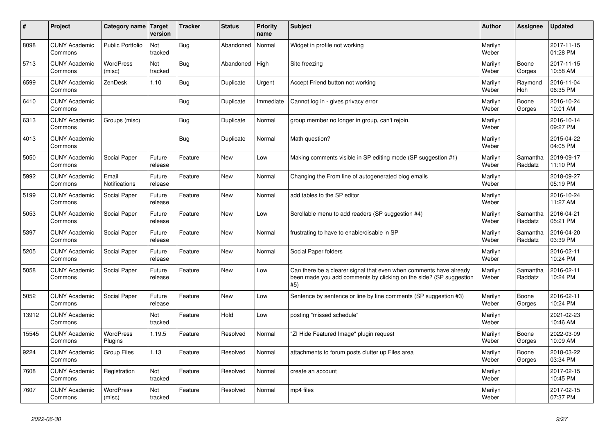| ∦     | Project                         | Category name   Target      | version           | <b>Tracker</b> | <b>Status</b> | <b>Priority</b><br>name | <b>Subject</b>                                                                                                                                  | <b>Author</b>    | Assignee            | <b>Updated</b>         |
|-------|---------------------------------|-----------------------------|-------------------|----------------|---------------|-------------------------|-------------------------------------------------------------------------------------------------------------------------------------------------|------------------|---------------------|------------------------|
| 8098  | <b>CUNY Academic</b><br>Commons | <b>Public Portfolio</b>     | Not<br>tracked    | <b>Bug</b>     | Abandoned     | Normal                  | Widget in profile not working                                                                                                                   | Marilyn<br>Weber |                     | 2017-11-15<br>01:28 PM |
| 5713  | <b>CUNY Academic</b><br>Commons | WordPress<br>(misc)         | Not<br>tracked    | <b>Bug</b>     | Abandoned     | High                    | Site freezing                                                                                                                                   | Marilyn<br>Weber | Boone<br>Gorges     | 2017-11-15<br>10:58 AM |
| 6599  | <b>CUNY Academic</b><br>Commons | ZenDesk                     | 1.10              | <b>Bug</b>     | Duplicate     | Urgent                  | Accept Friend button not working                                                                                                                | Marilyn<br>Weber | Raymond<br>Hoh      | 2016-11-04<br>06:35 PM |
| 6410  | <b>CUNY Academic</b><br>Commons |                             |                   | <b>Bug</b>     | Duplicate     | Immediate               | Cannot log in - gives privacy error                                                                                                             | Marilyn<br>Weber | Boone<br>Gorges     | 2016-10-24<br>10:01 AM |
| 6313  | <b>CUNY Academic</b><br>Commons | Groups (misc)               |                   | <b>Bug</b>     | Duplicate     | Normal                  | group member no longer in group, can't rejoin.                                                                                                  | Marilyn<br>Weber |                     | 2016-10-14<br>09:27 PM |
| 4013  | <b>CUNY Academic</b><br>Commons |                             |                   | Bug            | Duplicate     | Normal                  | Math question?                                                                                                                                  | Marilyn<br>Weber |                     | 2015-04-22<br>04:05 PM |
| 5050  | <b>CUNY Academic</b><br>Commons | Social Paper                | Future<br>release | Feature        | <b>New</b>    | Low                     | Making comments visible in SP editing mode (SP suggestion #1)                                                                                   | Marilyn<br>Weber | Samantha<br>Raddatz | 2019-09-17<br>11:10 PM |
| 5992  | <b>CUNY Academic</b><br>Commons | Email<br>Notifications      | Future<br>release | Feature        | <b>New</b>    | Normal                  | Changing the From line of autogenerated blog emails                                                                                             | Marilyn<br>Weber |                     | 2018-09-27<br>05:19 PM |
| 5199  | <b>CUNY Academic</b><br>Commons | Social Paper                | Future<br>release | Feature        | <b>New</b>    | Normal                  | add tables to the SP editor                                                                                                                     | Marilyn<br>Weber |                     | 2016-10-24<br>11:27 AM |
| 5053  | <b>CUNY Academic</b><br>Commons | Social Paper                | Future<br>release | Feature        | <b>New</b>    | Low                     | Scrollable menu to add readers (SP suggestion #4)                                                                                               | Marilyn<br>Weber | Samantha<br>Raddatz | 2016-04-21<br>05:21 PM |
| 5397  | <b>CUNY Academic</b><br>Commons | Social Paper                | Future<br>release | Feature        | <b>New</b>    | Normal                  | frustrating to have to enable/disable in SP                                                                                                     | Marilyn<br>Weber | Samantha<br>Raddatz | 2016-04-20<br>03:39 PM |
| 5205  | <b>CUNY Academic</b><br>Commons | Social Paper                | Future<br>release | Feature        | <b>New</b>    | Normal                  | Social Paper folders                                                                                                                            | Marilyn<br>Weber |                     | 2016-02-11<br>10:24 PM |
| 5058  | <b>CUNY Academic</b><br>Commons | Social Paper                | Future<br>release | Feature        | <b>New</b>    | Low                     | Can there be a clearer signal that even when comments have already<br>been made you add comments by clicking on the side? (SP suggestion<br>#5) | Marilyn<br>Weber | Samantha<br>Raddatz | 2016-02-11<br>10:24 PM |
| 5052  | <b>CUNY Academic</b><br>Commons | Social Paper                | Future<br>release | Feature        | <b>New</b>    | Low                     | Sentence by sentence or line by line comments (SP suggestion #3)                                                                                | Marilyn<br>Weber | Boone<br>Gorges     | 2016-02-11<br>10:24 PM |
| 13912 | <b>CUNY Academic</b><br>Commons |                             | Not<br>tracked    | Feature        | Hold          | Low                     | posting "missed schedule"                                                                                                                       | Marilyn<br>Weber |                     | 2021-02-23<br>10:46 AM |
| 15545 | <b>CUNY Academic</b><br>Commons | <b>WordPress</b><br>Plugins | 1.19.5            | Feature        | Resolved      | Normal                  | "ZI Hide Featured Image" plugin request                                                                                                         | Marilyn<br>Weber | Boone<br>Gorges     | 2022-03-09<br>10:09 AM |
| 9224  | <b>CUNY Academic</b><br>Commons | <b>Group Files</b>          | 1.13              | Feature        | Resolved      | Normal                  | attachments to forum posts clutter up Files area                                                                                                | Marilyn<br>Weber | Boone<br>Gorges     | 2018-03-22<br>03:34 PM |
| 7608  | <b>CUNY Academic</b><br>Commons | Registration                | Not<br>tracked    | Feature        | Resolved      | Normal                  | create an account                                                                                                                               | Marilyn<br>Weber |                     | 2017-02-15<br>10:45 PM |
| 7607  | <b>CUNY Academic</b><br>Commons | WordPress<br>(misc)         | Not<br>tracked    | Feature        | Resolved      | Normal                  | mp4 files                                                                                                                                       | Marilyn<br>Weber |                     | 2017-02-15<br>07:37 PM |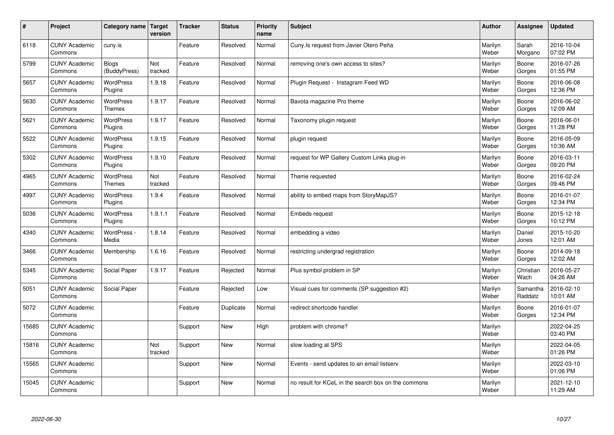| $\vert$ # | Project                         | Category name   Target            | version        | <b>Tracker</b> | <b>Status</b> | <b>Priority</b><br>name | <b>Subject</b>                                      | <b>Author</b>    | Assignee            | <b>Updated</b>         |
|-----------|---------------------------------|-----------------------------------|----------------|----------------|---------------|-------------------------|-----------------------------------------------------|------------------|---------------------|------------------------|
| 6118      | <b>CUNY Academic</b><br>Commons | cuny.is                           |                | Feature        | Resolved      | Normal                  | Cuny. Is request from Javier Otero Peña             | Marilyn<br>Weber | Sarah<br>Morgano    | 2016-10-04<br>07:02 PM |
| 5799      | <b>CUNY Academic</b><br>Commons | <b>Blogs</b><br>(BuddyPress)      | Not<br>tracked | Feature        | Resolved      | Normal                  | removing one's own access to sites?                 | Marilyn<br>Weber | Boone<br>Gorges     | 2016-07-26<br>01:55 PM |
| 5657      | <b>CUNY Academic</b><br>Commons | <b>WordPress</b><br>Plugins       | 1.9.18         | Feature        | Resolved      | Normal                  | Plugin Request - Instagram Feed WD                  | Marilyn<br>Weber | Boone<br>Gorges     | 2016-06-08<br>12:36 PM |
| 5630      | <b>CUNY Academic</b><br>Commons | <b>WordPress</b><br><b>Themes</b> | 1.9.17         | Feature        | Resolved      | Normal                  | Bavota magazine Pro theme                           | Marilyn<br>Weber | Boone<br>Gorges     | 2016-06-02<br>12:09 AM |
| 5621      | <b>CUNY Academic</b><br>Commons | <b>WordPress</b><br>Plugins       | 1.9.17         | Feature        | Resolved      | Normal                  | Taxonomy plugin request                             | Marilyn<br>Weber | Boone<br>Gorges     | 2016-06-01<br>11:28 PM |
| 5522      | <b>CUNY Academic</b><br>Commons | WordPress<br>Plugins              | 1.9.15         | Feature        | Resolved      | Normal                  | plugin request                                      | Marilyn<br>Weber | Boone<br>Gorges     | 2016-05-09<br>10:36 AM |
| 5302      | <b>CUNY Academic</b><br>Commons | <b>WordPress</b><br>Plugins       | 1.9.10         | Feature        | Resolved      | Normal                  | request for WP Gallery Custom Links plug-in         | Marilyn<br>Weber | Boone<br>Gorges     | 2016-03-11<br>09:20 PM |
| 4965      | <b>CUNY Academic</b><br>Commons | WordPress<br><b>Themes</b>        | Not<br>tracked | Feature        | Resolved      | Normal                  | Theme requested                                     | Marilyn<br>Weber | Boone<br>Gorges     | 2016-02-24<br>09:46 PM |
| 4997      | <b>CUNY Academic</b><br>Commons | WordPress<br>Plugins              | 1.9.4          | Feature        | Resolved      | Normal                  | ability to embed maps from StoryMapJS?              | Marilyn<br>Weber | Boone<br>Gorges     | 2016-01-07<br>12:34 PM |
| 5036      | <b>CUNY Academic</b><br>Commons | WordPress<br>Plugins              | 1.9.1.1        | Feature        | Resolved      | Normal                  | <b>Embeds request</b>                               | Marilyn<br>Weber | Boone<br>Gorges     | 2015-12-18<br>10:12 PM |
| 4340      | <b>CUNY Academic</b><br>Commons | WordPress -<br>Media              | 1.8.14         | Feature        | Resolved      | Normal                  | embedding a video                                   | Marilyn<br>Weber | Daniel<br>Jones     | 2015-10-20<br>12:01 AM |
| 3466      | <b>CUNY Academic</b><br>Commons | Membership                        | 1.6.16         | Feature        | Resolved      | Normal                  | restricting undergrad registration                  | Marilyn<br>Weber | Boone<br>Gorges     | 2014-09-18<br>12:02 AM |
| 5345      | <b>CUNY Academic</b><br>Commons | Social Paper                      | 1.9.17         | Feature        | Rejected      | Normal                  | Plus symbol problem in SP                           | Marilyn<br>Weber | Christian<br>Wach   | 2016-05-27<br>04:26 AM |
| 5051      | <b>CUNY Academic</b><br>Commons | Social Paper                      |                | Feature        | Rejected      | Low                     | Visual cues for comments (SP suggestion #2)         | Marilyn<br>Weber | Samantha<br>Raddatz | 2016-02-10<br>10:01 AM |
| 5072      | <b>CUNY Academic</b><br>Commons |                                   |                | Feature        | Duplicate     | Normal                  | redirect shortcode handler                          | Marilyn<br>Weber | Boone<br>Gorges     | 2016-01-07<br>12:34 PM |
| 15685     | <b>CUNY Academic</b><br>Commons |                                   |                | Support        | <b>New</b>    | High                    | problem with chrome?                                | Marilyn<br>Weber |                     | 2022-04-25<br>03:40 PM |
| 15816     | <b>CUNY Academic</b><br>Commons |                                   | Not<br>tracked | Support        | <b>New</b>    | Normal                  | slow loading at SPS                                 | Marilyn<br>Weber |                     | 2022-04-05<br>01:26 PM |
| 15565     | <b>CUNY Academic</b><br>Commons |                                   |                | Support        | New           | Normal                  | Events - send updates to an email listserv          | Marilyn<br>Weber |                     | 2022-03-10<br>01:06 PM |
| 15045     | <b>CUNY Academic</b><br>Commons |                                   |                | Support        | <b>New</b>    | Normal                  | no result for KCeL in the search box on the commons | Marilyn<br>Weber |                     | 2021-12-10<br>11:29 AM |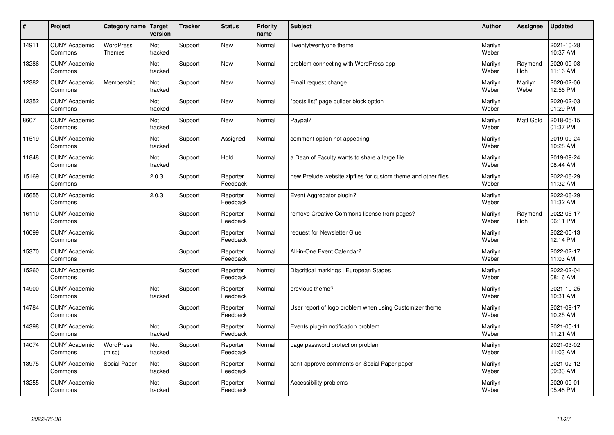| #     | Project                         | Category name                     | Target<br>version | <b>Tracker</b> | <b>Status</b>        | <b>Priority</b><br>name | <b>Subject</b>                                                 | <b>Author</b>    | Assignee         | <b>Updated</b>         |
|-------|---------------------------------|-----------------------------------|-------------------|----------------|----------------------|-------------------------|----------------------------------------------------------------|------------------|------------------|------------------------|
| 14911 | <b>CUNY Academic</b><br>Commons | <b>WordPress</b><br><b>Themes</b> | Not<br>tracked    | Support        | <b>New</b>           | Normal                  | Twentytwentyone theme                                          | Marilyn<br>Weber |                  | 2021-10-28<br>10:37 AM |
| 13286 | <b>CUNY Academic</b><br>Commons |                                   | Not<br>tracked    | Support        | <b>New</b>           | Normal                  | problem connecting with WordPress app                          | Marilyn<br>Weber | Raymond<br>Hoh   | 2020-09-08<br>11:16 AM |
| 12382 | <b>CUNY Academic</b><br>Commons | Membership                        | Not<br>tracked    | Support        | <b>New</b>           | Normal                  | Email request change                                           | Marilyn<br>Weber | Marilyn<br>Weber | 2020-02-06<br>12:56 PM |
| 12352 | <b>CUNY Academic</b><br>Commons |                                   | Not<br>tracked    | Support        | <b>New</b>           | Normal                  | posts list" page builder block option                          | Marilyn<br>Weber |                  | 2020-02-03<br>01:29 PM |
| 8607  | <b>CUNY Academic</b><br>Commons |                                   | Not<br>tracked    | Support        | <b>New</b>           | Normal                  | Paypal?                                                        | Marilyn<br>Weber | <b>Matt Gold</b> | 2018-05-15<br>01:37 PM |
| 11519 | <b>CUNY Academic</b><br>Commons |                                   | Not<br>tracked    | Support        | Assigned             | Normal                  | comment option not appearing                                   | Marilyn<br>Weber |                  | 2019-09-24<br>10:28 AM |
| 11848 | <b>CUNY Academic</b><br>Commons |                                   | Not<br>tracked    | Support        | Hold                 | Normal                  | a Dean of Faculty wants to share a large file                  | Marilyn<br>Weber |                  | 2019-09-24<br>08:44 AM |
| 15169 | <b>CUNY Academic</b><br>Commons |                                   | 2.0.3             | Support        | Reporter<br>Feedback | Normal                  | new Prelude website zipfiles for custom theme and other files. | Marilyn<br>Weber |                  | 2022-06-29<br>11:32 AM |
| 15655 | <b>CUNY Academic</b><br>Commons |                                   | 2.0.3             | Support        | Reporter<br>Feedback | Normal                  | Event Aggregator plugin?                                       | Marilyn<br>Weber |                  | 2022-06-29<br>11:32 AM |
| 16110 | <b>CUNY Academic</b><br>Commons |                                   |                   | Support        | Reporter<br>Feedback | Normal                  | remove Creative Commons license from pages?                    | Marilyn<br>Weber | Raymond<br>Hoh   | 2022-05-17<br>06:11 PM |
| 16099 | <b>CUNY Academic</b><br>Commons |                                   |                   | Support        | Reporter<br>Feedback | Normal                  | request for Newsletter Glue                                    | Marilyn<br>Weber |                  | 2022-05-13<br>12:14 PM |
| 15370 | <b>CUNY Academic</b><br>Commons |                                   |                   | Support        | Reporter<br>Feedback | Normal                  | All-in-One Event Calendar?                                     | Marilyn<br>Weber |                  | 2022-02-17<br>11:03 AM |
| 15260 | <b>CUNY Academic</b><br>Commons |                                   |                   | Support        | Reporter<br>Feedback | Normal                  | Diacritical markings   European Stages                         | Marilyn<br>Weber |                  | 2022-02-04<br>08:16 AM |
| 14900 | <b>CUNY Academic</b><br>Commons |                                   | Not<br>tracked    | Support        | Reporter<br>Feedback | Normal                  | previous theme?                                                | Marilyn<br>Weber |                  | 2021-10-25<br>10:31 AM |
| 14784 | <b>CUNY Academic</b><br>Commons |                                   |                   | Support        | Reporter<br>Feedback | Normal                  | User report of logo problem when using Customizer theme        | Marilyn<br>Weber |                  | 2021-09-17<br>10:25 AM |
| 14398 | <b>CUNY Academic</b><br>Commons |                                   | Not<br>tracked    | Support        | Reporter<br>Feedback | Normal                  | Events plug-in notification problem                            | Marilyn<br>Weber |                  | 2021-05-11<br>11:21 AM |
| 14074 | <b>CUNY Academic</b><br>Commons | WordPress<br>(misc)               | Not<br>tracked    | Support        | Reporter<br>Feedback | Normal                  | page password protection problem                               | Marilyn<br>Weber |                  | 2021-03-02<br>11:03 AM |
| 13975 | <b>CUNY Academic</b><br>Commons | Social Paper                      | Not<br>tracked    | Support        | Reporter<br>Feedback | Normal                  | can't approve comments on Social Paper paper                   | Marilyn<br>Weber |                  | 2021-02-12<br>09:33 AM |
| 13255 | <b>CUNY Academic</b><br>Commons |                                   | Not<br>tracked    | Support        | Reporter<br>Feedback | Normal                  | Accessibility problems                                         | Marilyn<br>Weber |                  | 2020-09-01<br>05:48 PM |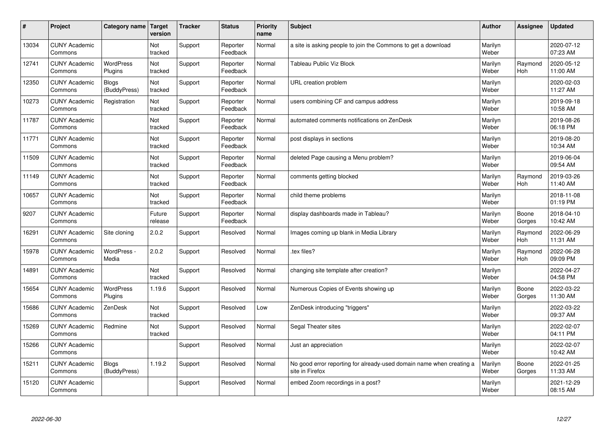| #     | Project                         | Category name   Target       | version           | <b>Tracker</b> | <b>Status</b>        | <b>Priority</b><br>name | <b>Subject</b>                                                                          | <b>Author</b>    | <b>Assignee</b>       | <b>Updated</b>         |
|-------|---------------------------------|------------------------------|-------------------|----------------|----------------------|-------------------------|-----------------------------------------------------------------------------------------|------------------|-----------------------|------------------------|
| 13034 | <b>CUNY Academic</b><br>Commons |                              | Not<br>tracked    | Support        | Reporter<br>Feedback | Normal                  | a site is asking people to join the Commons to get a download                           | Marilyn<br>Weber |                       | 2020-07-12<br>07:23 AM |
| 12741 | <b>CUNY Academic</b><br>Commons | <b>WordPress</b><br>Plugins  | Not<br>tracked    | Support        | Reporter<br>Feedback | Normal                  | Tableau Public Viz Block                                                                | Marilyn<br>Weber | Raymond<br>Hoh        | 2020-05-12<br>11:00 AM |
| 12350 | <b>CUNY Academic</b><br>Commons | <b>Blogs</b><br>(BuddyPress) | Not<br>tracked    | Support        | Reporter<br>Feedback | Normal                  | URL creation problem                                                                    | Marilyn<br>Weber |                       | 2020-02-03<br>11:27 AM |
| 10273 | <b>CUNY Academic</b><br>Commons | Registration                 | Not<br>tracked    | Support        | Reporter<br>Feedback | Normal                  | users combining CF and campus address                                                   | Marilyn<br>Weber |                       | 2019-09-18<br>10:58 AM |
| 11787 | <b>CUNY Academic</b><br>Commons |                              | Not<br>tracked    | Support        | Reporter<br>Feedback | Normal                  | automated comments notifications on ZenDesk                                             | Marilyn<br>Weber |                       | 2019-08-26<br>06:18 PM |
| 11771 | <b>CUNY Academic</b><br>Commons |                              | Not<br>tracked    | Support        | Reporter<br>Feedback | Normal                  | post displays in sections                                                               | Marilyn<br>Weber |                       | 2019-08-20<br>10:34 AM |
| 11509 | <b>CUNY Academic</b><br>Commons |                              | Not<br>tracked    | Support        | Reporter<br>Feedback | Normal                  | deleted Page causing a Menu problem?                                                    | Marilyn<br>Weber |                       | 2019-06-04<br>09:54 AM |
| 11149 | <b>CUNY Academic</b><br>Commons |                              | Not<br>tracked    | Support        | Reporter<br>Feedback | Normal                  | comments getting blocked                                                                | Marilyn<br>Weber | Raymond<br>Hoh        | 2019-03-26<br>11:40 AM |
| 10657 | <b>CUNY Academic</b><br>Commons |                              | Not<br>tracked    | Support        | Reporter<br>Feedback | Normal                  | child theme problems                                                                    | Marilyn<br>Weber |                       | 2018-11-08<br>01:19 PM |
| 9207  | <b>CUNY Academic</b><br>Commons |                              | Future<br>release | Support        | Reporter<br>Feedback | Normal                  | display dashboards made in Tableau?                                                     | Marilyn<br>Weber | Boone<br>Gorges       | 2018-04-10<br>10:42 AM |
| 16291 | <b>CUNY Academic</b><br>Commons | Site cloning                 | 2.0.2             | Support        | Resolved             | Normal                  | Images coming up blank in Media Library                                                 | Marilyn<br>Weber | Raymond<br><b>Hoh</b> | 2022-06-29<br>11:31 AM |
| 15978 | <b>CUNY Academic</b><br>Commons | WordPress -<br>Media         | 2.0.2             | Support        | Resolved             | Normal                  | tex files?                                                                              | Marilyn<br>Weber | Raymond<br>Hoh        | 2022-06-28<br>09:09 PM |
| 14891 | <b>CUNY Academic</b><br>Commons |                              | Not<br>tracked    | Support        | Resolved             | Normal                  | changing site template after creation?                                                  | Marilyn<br>Weber |                       | 2022-04-27<br>04:58 PM |
| 15654 | <b>CUNY Academic</b><br>Commons | WordPress<br>Plugins         | 1.19.6            | Support        | Resolved             | Normal                  | Numerous Copies of Events showing up                                                    | Marilyn<br>Weber | Boone<br>Gorges       | 2022-03-22<br>11:30 AM |
| 15686 | <b>CUNY Academic</b><br>Commons | ZenDesk                      | Not<br>tracked    | Support        | Resolved             | Low                     | ZenDesk introducing "triggers"                                                          | Marilyn<br>Weber |                       | 2022-03-22<br>09:37 AM |
| 15269 | <b>CUNY Academic</b><br>Commons | Redmine                      | Not<br>tracked    | Support        | Resolved             | Normal                  | Segal Theater sites                                                                     | Marilyn<br>Weber |                       | 2022-02-07<br>04:11 PM |
| 15266 | <b>CUNY Academic</b><br>Commons |                              |                   | Support        | Resolved             | Normal                  | Just an appreciation                                                                    | Marilyn<br>Weber |                       | 2022-02-07<br>10:42 AM |
| 15211 | <b>CUNY Academic</b><br>Commons | Blogs<br>(BuddyPress)        | 1.19.2            | Support        | Resolved             | Normal                  | No good error reporting for already-used domain name when creating a<br>site in Firefox | Marilyn<br>Weber | Boone<br>Gorges       | 2022-01-25<br>11:33 AM |
| 15120 | <b>CUNY Academic</b><br>Commons |                              |                   | Support        | Resolved             | Normal                  | embed Zoom recordings in a post?                                                        | Marilyn<br>Weber |                       | 2021-12-29<br>08:15 AM |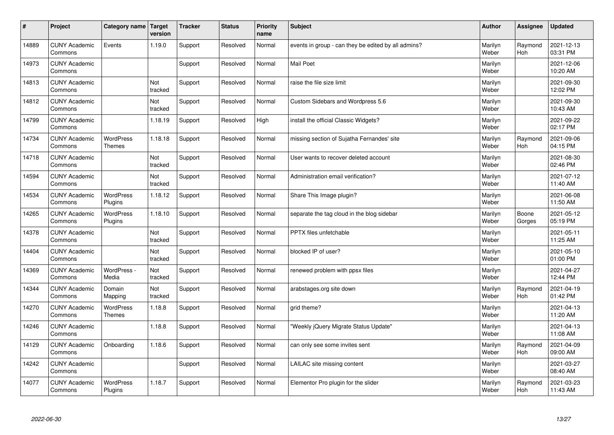| #     | Project                         | Category name                     | Target<br>version | <b>Tracker</b> | <b>Status</b> | <b>Priority</b><br>name | <b>Subject</b>                                      | <b>Author</b>    | Assignee              | Updated                |
|-------|---------------------------------|-----------------------------------|-------------------|----------------|---------------|-------------------------|-----------------------------------------------------|------------------|-----------------------|------------------------|
| 14889 | <b>CUNY Academic</b><br>Commons | Events                            | 1.19.0            | Support        | Resolved      | Normal                  | events in group - can they be edited by all admins? | Marilyn<br>Weber | Raymond<br><b>Hoh</b> | 2021-12-13<br>03:31 PM |
| 14973 | <b>CUNY Academic</b><br>Commons |                                   |                   | Support        | Resolved      | Normal                  | <b>Mail Poet</b>                                    | Marilyn<br>Weber |                       | 2021-12-06<br>10:20 AM |
| 14813 | <b>CUNY Academic</b><br>Commons |                                   | Not<br>tracked    | Support        | Resolved      | Normal                  | raise the file size limit                           | Marilyn<br>Weber |                       | 2021-09-30<br>12:02 PM |
| 14812 | <b>CUNY Academic</b><br>Commons |                                   | Not<br>tracked    | Support        | Resolved      | Normal                  | Custom Sidebars and Wordpress 5.6                   | Marilyn<br>Weber |                       | 2021-09-30<br>10:43 AM |
| 14799 | <b>CUNY Academic</b><br>Commons |                                   | 1.18.19           | Support        | Resolved      | High                    | install the official Classic Widgets?               | Marilyn<br>Weber |                       | 2021-09-22<br>02:17 PM |
| 14734 | <b>CUNY Academic</b><br>Commons | <b>WordPress</b><br><b>Themes</b> | 1.18.18           | Support        | Resolved      | Normal                  | missing section of Sujatha Fernandes' site          | Marilyn<br>Weber | Raymond<br>Hoh        | 2021-09-06<br>04:15 PM |
| 14718 | <b>CUNY Academic</b><br>Commons |                                   | Not<br>tracked    | Support        | Resolved      | Normal                  | User wants to recover deleted account               | Marilyn<br>Weber |                       | 2021-08-30<br>02:46 PM |
| 14594 | <b>CUNY Academic</b><br>Commons |                                   | Not<br>tracked    | Support        | Resolved      | Normal                  | Administration email verification?                  | Marilyn<br>Weber |                       | 2021-07-12<br>11:40 AM |
| 14534 | <b>CUNY Academic</b><br>Commons | <b>WordPress</b><br>Plugins       | 1.18.12           | Support        | Resolved      | Normal                  | Share This Image plugin?                            | Marilyn<br>Weber |                       | 2021-06-08<br>11:50 AM |
| 14265 | <b>CUNY Academic</b><br>Commons | WordPress<br>Plugins              | 1.18.10           | Support        | Resolved      | Normal                  | separate the tag cloud in the blog sidebar          | Marilyn<br>Weber | Boone<br>Gorges       | 2021-05-12<br>05:19 PM |
| 14378 | <b>CUNY Academic</b><br>Commons |                                   | Not<br>tracked    | Support        | Resolved      | Normal                  | PPTX files unfetchable                              | Marilyn<br>Weber |                       | 2021-05-11<br>11:25 AM |
| 14404 | <b>CUNY Academic</b><br>Commons |                                   | Not<br>tracked    | Support        | Resolved      | Normal                  | blocked IP of user?                                 | Marilyn<br>Weber |                       | 2021-05-10<br>01:00 PM |
| 14369 | <b>CUNY Academic</b><br>Commons | WordPress -<br>Media              | Not<br>tracked    | Support        | Resolved      | Normal                  | renewed problem with ppsx files                     | Marilyn<br>Weber |                       | 2021-04-27<br>12:44 PM |
| 14344 | <b>CUNY Academic</b><br>Commons | Domain<br>Mapping                 | Not<br>tracked    | Support        | Resolved      | Normal                  | arabstages.org site down                            | Marilyn<br>Weber | Raymond<br><b>Hoh</b> | 2021-04-19<br>01:42 PM |
| 14270 | <b>CUNY Academic</b><br>Commons | <b>WordPress</b><br><b>Themes</b> | 1.18.8            | Support        | Resolved      | Normal                  | grid theme?                                         | Marilyn<br>Weber |                       | 2021-04-13<br>11:20 AM |
| 14246 | <b>CUNY Academic</b><br>Commons |                                   | 1.18.8            | Support        | Resolved      | Normal                  | 'Weekly jQuery Migrate Status Update"               | Marilyn<br>Weber |                       | 2021-04-13<br>11:08 AM |
| 14129 | <b>CUNY Academic</b><br>Commons | Onboarding                        | 1.18.6            | Support        | Resolved      | Normal                  | can only see some invites sent                      | Marilyn<br>Weber | Raymond<br>Hoh        | 2021-04-09<br>09:00 AM |
| 14242 | <b>CUNY Academic</b><br>Commons |                                   |                   | Support        | Resolved      | Normal                  | LAILAC site missing content                         | Marilyn<br>Weber |                       | 2021-03-27<br>08:40 AM |
| 14077 | <b>CUNY Academic</b><br>Commons | <b>WordPress</b><br>Plugins       | 1.18.7            | Support        | Resolved      | Normal                  | Elementor Pro plugin for the slider                 | Marilyn<br>Weber | Raymond<br>Hoh        | 2021-03-23<br>11:43 AM |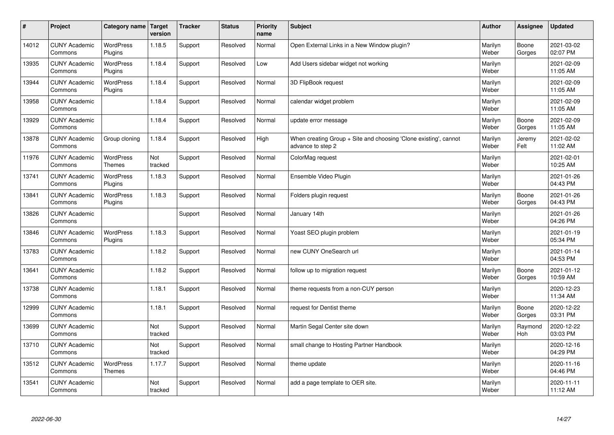| #     | Project                         | Category name   Target            | version        | <b>Tracker</b> | <b>Status</b> | <b>Priority</b><br>name | <b>Subject</b>                                                                        | <b>Author</b>    | <b>Assignee</b> | <b>Updated</b>         |
|-------|---------------------------------|-----------------------------------|----------------|----------------|---------------|-------------------------|---------------------------------------------------------------------------------------|------------------|-----------------|------------------------|
| 14012 | <b>CUNY Academic</b><br>Commons | <b>WordPress</b><br>Plugins       | 1.18.5         | Support        | Resolved      | Normal                  | Open External Links in a New Window plugin?                                           | Marilyn<br>Weber | Boone<br>Gorges | 2021-03-02<br>02:07 PM |
| 13935 | <b>CUNY Academic</b><br>Commons | <b>WordPress</b><br>Plugins       | 1.18.4         | Support        | Resolved      | Low                     | Add Users sidebar widget not working                                                  | Marilyn<br>Weber |                 | 2021-02-09<br>11:05 AM |
| 13944 | <b>CUNY Academic</b><br>Commons | <b>WordPress</b><br>Plugins       | 1.18.4         | Support        | Resolved      | Normal                  | 3D FlipBook request                                                                   | Marilyn<br>Weber |                 | 2021-02-09<br>11:05 AM |
| 13958 | <b>CUNY Academic</b><br>Commons |                                   | 1.18.4         | Support        | Resolved      | Normal                  | calendar widget problem                                                               | Marilyn<br>Weber |                 | 2021-02-09<br>11:05 AM |
| 13929 | <b>CUNY Academic</b><br>Commons |                                   | 1.18.4         | Support        | Resolved      | Normal                  | update error message                                                                  | Marilyn<br>Weber | Boone<br>Gorges | 2021-02-09<br>11:05 AM |
| 13878 | <b>CUNY Academic</b><br>Commons | Group cloning                     | 1.18.4         | Support        | Resolved      | High                    | When creating Group + Site and choosing 'Clone existing', cannot<br>advance to step 2 | Marilyn<br>Weber | Jeremy<br>Felt  | 2021-02-02<br>11:02 AM |
| 11976 | <b>CUNY Academic</b><br>Commons | <b>WordPress</b><br><b>Themes</b> | Not<br>tracked | Support        | Resolved      | Normal                  | ColorMag request                                                                      | Marilyn<br>Weber |                 | 2021-02-01<br>10:25 AM |
| 13741 | <b>CUNY Academic</b><br>Commons | <b>WordPress</b><br>Plugins       | 1.18.3         | Support        | Resolved      | Normal                  | Ensemble Video Plugin                                                                 | Marilyn<br>Weber |                 | 2021-01-26<br>04:43 PM |
| 13841 | <b>CUNY Academic</b><br>Commons | <b>WordPress</b><br>Plugins       | 1.18.3         | Support        | Resolved      | Normal                  | Folders plugin request                                                                | Marilyn<br>Weber | Boone<br>Gorges | 2021-01-26<br>04:43 PM |
| 13826 | <b>CUNY Academic</b><br>Commons |                                   |                | Support        | Resolved      | Normal                  | January 14th                                                                          | Marilyn<br>Weber |                 | 2021-01-26<br>04:26 PM |
| 13846 | <b>CUNY Academic</b><br>Commons | <b>WordPress</b><br>Plugins       | 1.18.3         | Support        | Resolved      | Normal                  | Yoast SEO plugin problem                                                              | Marilyn<br>Weber |                 | 2021-01-19<br>05:34 PM |
| 13783 | <b>CUNY Academic</b><br>Commons |                                   | 1.18.2         | Support        | Resolved      | Normal                  | new CUNY OneSearch url                                                                | Marilyn<br>Weber |                 | 2021-01-14<br>04:53 PM |
| 13641 | <b>CUNY Academic</b><br>Commons |                                   | 1.18.2         | Support        | Resolved      | Normal                  | follow up to migration request                                                        | Marilyn<br>Weber | Boone<br>Gorges | 2021-01-12<br>10:59 AM |
| 13738 | <b>CUNY Academic</b><br>Commons |                                   | 1.18.1         | Support        | Resolved      | Normal                  | theme requests from a non-CUY person                                                  | Marilyn<br>Weber |                 | 2020-12-23<br>11:34 AM |
| 12999 | <b>CUNY Academic</b><br>Commons |                                   | 1.18.1         | Support        | Resolved      | Normal                  | request for Dentist theme                                                             | Marilyn<br>Weber | Boone<br>Gorges | 2020-12-22<br>03:31 PM |
| 13699 | <b>CUNY Academic</b><br>Commons |                                   | Not<br>tracked | Support        | Resolved      | Normal                  | Martin Segal Center site down                                                         | Marilyn<br>Weber | Raymond<br>Hoh  | 2020-12-22<br>03:03 PM |
| 13710 | <b>CUNY Academic</b><br>Commons |                                   | Not<br>tracked | Support        | Resolved      | Normal                  | small change to Hosting Partner Handbook                                              | Marilyn<br>Weber |                 | 2020-12-16<br>04:29 PM |
| 13512 | <b>CUNY Academic</b><br>Commons | <b>WordPress</b><br><b>Themes</b> | 1.17.7         | Support        | Resolved      | Normal                  | theme update                                                                          | Marilyn<br>Weber |                 | 2020-11-16<br>04:46 PM |
| 13541 | <b>CUNY Academic</b><br>Commons |                                   | Not<br>tracked | Support        | Resolved      | Normal                  | add a page template to OER site.                                                      | Marilyn<br>Weber |                 | 2020-11-11<br>11:12 AM |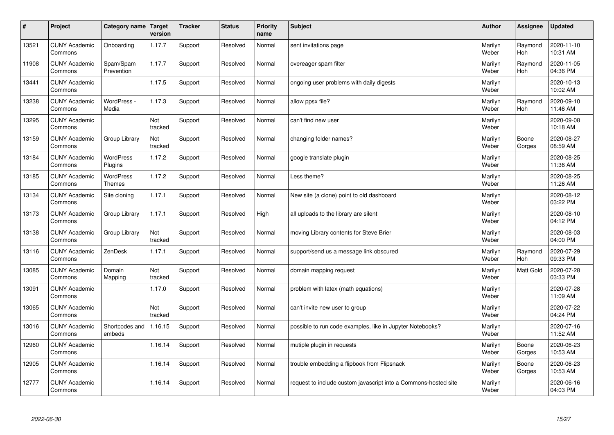| #     | Project                         | Category name   Target            | version        | <b>Tracker</b> | <b>Status</b> | <b>Priority</b><br>name | <b>Subject</b>                                                  | <b>Author</b>    | <b>Assignee</b>       | <b>Updated</b>         |
|-------|---------------------------------|-----------------------------------|----------------|----------------|---------------|-------------------------|-----------------------------------------------------------------|------------------|-----------------------|------------------------|
| 13521 | <b>CUNY Academic</b><br>Commons | Onboarding                        | 1.17.7         | Support        | Resolved      | Normal                  | sent invitations page                                           | Marilyn<br>Weber | Raymond<br><b>Hoh</b> | 2020-11-10<br>10:31 AM |
| 11908 | <b>CUNY Academic</b><br>Commons | Spam/Spam<br>Prevention           | 1.17.7         | Support        | Resolved      | Normal                  | overeager spam filter                                           | Marilyn<br>Weber | Raymond<br>Hoh        | 2020-11-05<br>04:36 PM |
| 13441 | <b>CUNY Academic</b><br>Commons |                                   | 1.17.5         | Support        | Resolved      | Normal                  | ongoing user problems with daily digests                        | Marilyn<br>Weber |                       | 2020-10-13<br>10:02 AM |
| 13238 | <b>CUNY Academic</b><br>Commons | WordPress -<br>Media              | 1.17.3         | Support        | Resolved      | Normal                  | allow ppsx file?                                                | Marilyn<br>Weber | Raymond<br><b>Hoh</b> | 2020-09-10<br>11:46 AM |
| 13295 | <b>CUNY Academic</b><br>Commons |                                   | Not<br>tracked | Support        | Resolved      | Normal                  | can't find new user                                             | Marilyn<br>Weber |                       | 2020-09-08<br>10:18 AM |
| 13159 | <b>CUNY Academic</b><br>Commons | Group Library                     | Not<br>tracked | Support        | Resolved      | Normal                  | changing folder names?                                          | Marilyn<br>Weber | Boone<br>Gorges       | 2020-08-27<br>08:59 AM |
| 13184 | <b>CUNY Academic</b><br>Commons | <b>WordPress</b><br>Plugins       | 1.17.2         | Support        | Resolved      | Normal                  | google translate plugin                                         | Marilyn<br>Weber |                       | 2020-08-25<br>11:36 AM |
| 13185 | <b>CUNY Academic</b><br>Commons | <b>WordPress</b><br><b>Themes</b> | 1.17.2         | Support        | Resolved      | Normal                  | Less theme?                                                     | Marilyn<br>Weber |                       | 2020-08-25<br>11:26 AM |
| 13134 | <b>CUNY Academic</b><br>Commons | Site cloning                      | 1.17.1         | Support        | Resolved      | Normal                  | New site (a clone) point to old dashboard                       | Marilyn<br>Weber |                       | 2020-08-12<br>03:22 PM |
| 13173 | <b>CUNY Academic</b><br>Commons | Group Library                     | 1.17.1         | Support        | Resolved      | High                    | all uploads to the library are silent                           | Marilyn<br>Weber |                       | 2020-08-10<br>04:12 PM |
| 13138 | <b>CUNY Academic</b><br>Commons | Group Library                     | Not<br>tracked | Support        | Resolved      | Normal                  | moving Library contents for Steve Brier                         | Marilyn<br>Weber |                       | 2020-08-03<br>04:00 PM |
| 13116 | <b>CUNY Academic</b><br>Commons | ZenDesk                           | 1.17.1         | Support        | Resolved      | Normal                  | support/send us a message link obscured                         | Marilyn<br>Weber | Raymond<br><b>Hoh</b> | 2020-07-29<br>09:33 PM |
| 13085 | <b>CUNY Academic</b><br>Commons | Domain<br>Mapping                 | Not<br>tracked | Support        | Resolved      | Normal                  | domain mapping request                                          | Marilyn<br>Weber | <b>Matt Gold</b>      | 2020-07-28<br>03:33 PM |
| 13091 | <b>CUNY Academic</b><br>Commons |                                   | 1.17.0         | Support        | Resolved      | Normal                  | problem with latex (math equations)                             | Marilyn<br>Weber |                       | 2020-07-28<br>11:09 AM |
| 13065 | <b>CUNY Academic</b><br>Commons |                                   | Not<br>tracked | Support        | Resolved      | Normal                  | can't invite new user to group                                  | Marilyn<br>Weber |                       | 2020-07-22<br>04:24 PM |
| 13016 | <b>CUNY Academic</b><br>Commons | Shortcodes and<br>embeds          | 1.16.15        | Support        | Resolved      | Normal                  | possible to run code examples, like in Jupyter Notebooks?       | Marilyn<br>Weber |                       | 2020-07-16<br>11:52 AM |
| 12960 | <b>CUNY Academic</b><br>Commons |                                   | 1.16.14        | Support        | Resolved      | Normal                  | mutiple plugin in requests                                      | Marilyn<br>Weber | Boone<br>Gorges       | 2020-06-23<br>10:53 AM |
| 12905 | <b>CUNY Academic</b><br>Commons |                                   | 1.16.14        | Support        | Resolved      | Normal                  | trouble embedding a flipbook from Flipsnack                     | Marilyn<br>Weber | Boone<br>Gorges       | 2020-06-23<br>10:53 AM |
| 12777 | <b>CUNY Academic</b><br>Commons |                                   | 1.16.14        | Support        | Resolved      | Normal                  | request to include custom javascript into a Commons-hosted site | Marilyn<br>Weber |                       | 2020-06-16<br>04:03 PM |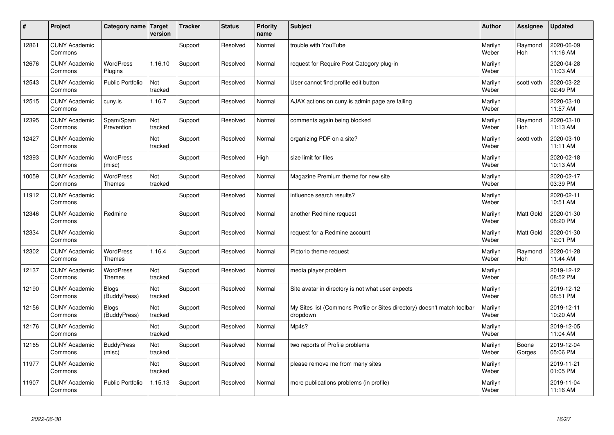| #     | Project                         | Category name                     | Target<br>version | <b>Tracker</b> | <b>Status</b> | <b>Priority</b><br>name | <b>Subject</b>                                                                       | <b>Author</b>    | Assignee              | Updated                |
|-------|---------------------------------|-----------------------------------|-------------------|----------------|---------------|-------------------------|--------------------------------------------------------------------------------------|------------------|-----------------------|------------------------|
| 12861 | <b>CUNY Academic</b><br>Commons |                                   |                   | Support        | Resolved      | Normal                  | trouble with YouTube                                                                 | Marilyn<br>Weber | Raymond<br><b>Hoh</b> | 2020-06-09<br>11:16 AM |
| 12676 | <b>CUNY Academic</b><br>Commons | <b>WordPress</b><br>Plugins       | 1.16.10           | Support        | Resolved      | Normal                  | request for Require Post Category plug-in                                            | Marilyn<br>Weber |                       | 2020-04-28<br>11:03 AM |
| 12543 | <b>CUNY Academic</b><br>Commons | <b>Public Portfolio</b>           | Not<br>tracked    | Support        | Resolved      | Normal                  | User cannot find profile edit button                                                 | Marilyn<br>Weber | scott voth            | 2020-03-22<br>02:49 PM |
| 12515 | <b>CUNY Academic</b><br>Commons | cuny.is                           | 1.16.7            | Support        | Resolved      | Normal                  | AJAX actions on cuny is admin page are failing                                       | Marilyn<br>Weber |                       | 2020-03-10<br>11:57 AM |
| 12395 | <b>CUNY Academic</b><br>Commons | Spam/Spam<br>Prevention           | Not<br>tracked    | Support        | Resolved      | Normal                  | comments again being blocked                                                         | Marilyn<br>Weber | Raymond<br>Hoh        | 2020-03-10<br>11:13 AM |
| 12427 | <b>CUNY Academic</b><br>Commons |                                   | Not<br>tracked    | Support        | Resolved      | Normal                  | organizing PDF on a site?                                                            | Marilyn<br>Weber | scott voth            | 2020-03-10<br>11:11 AM |
| 12393 | <b>CUNY Academic</b><br>Commons | <b>WordPress</b><br>(misc)        |                   | Support        | Resolved      | High                    | size limit for files                                                                 | Marilyn<br>Weber |                       | 2020-02-18<br>10:13 AM |
| 10059 | <b>CUNY Academic</b><br>Commons | <b>WordPress</b><br><b>Themes</b> | Not<br>tracked    | Support        | Resolved      | Normal                  | Magazine Premium theme for new site                                                  | Marilyn<br>Weber |                       | 2020-02-17<br>03:39 PM |
| 11912 | <b>CUNY Academic</b><br>Commons |                                   |                   | Support        | Resolved      | Normal                  | influence search results?                                                            | Marilyn<br>Weber |                       | 2020-02-11<br>10:51 AM |
| 12346 | <b>CUNY Academic</b><br>Commons | Redmine                           |                   | Support        | Resolved      | Normal                  | another Redmine request                                                              | Marilyn<br>Weber | Matt Gold             | 2020-01-30<br>08:20 PM |
| 12334 | <b>CUNY Academic</b><br>Commons |                                   |                   | Support        | Resolved      | Normal                  | request for a Redmine account                                                        | Marilyn<br>Weber | Matt Gold             | 2020-01-30<br>12:01 PM |
| 12302 | <b>CUNY Academic</b><br>Commons | <b>WordPress</b><br><b>Themes</b> | 1.16.4            | Support        | Resolved      | Normal                  | Pictorio theme request                                                               | Marilyn<br>Weber | Raymond<br><b>Hoh</b> | 2020-01-28<br>11:44 AM |
| 12137 | <b>CUNY Academic</b><br>Commons | <b>WordPress</b><br><b>Themes</b> | Not<br>tracked    | Support        | Resolved      | Normal                  | media player problem                                                                 | Marilyn<br>Weber |                       | 2019-12-12<br>08:52 PM |
| 12190 | <b>CUNY Academic</b><br>Commons | <b>Blogs</b><br>(BuddyPress)      | Not<br>tracked    | Support        | Resolved      | Normal                  | Site avatar in directory is not what user expects                                    | Marilyn<br>Weber |                       | 2019-12-12<br>08:51 PM |
| 12156 | <b>CUNY Academic</b><br>Commons | <b>Blogs</b><br>(BuddyPress)      | Not<br>tracked    | Support        | Resolved      | Normal                  | My Sites list (Commons Profile or Sites directory) doesn't match toolbar<br>dropdown | Marilyn<br>Weber |                       | 2019-12-11<br>10:20 AM |
| 12176 | <b>CUNY Academic</b><br>Commons |                                   | Not<br>tracked    | Support        | Resolved      | Normal                  | Mp4s?                                                                                | Marilyn<br>Weber |                       | 2019-12-05<br>11:04 AM |
| 12165 | <b>CUNY Academic</b><br>Commons | <b>BuddyPress</b><br>(misc)       | Not<br>tracked    | Support        | Resolved      | Normal                  | two reports of Profile problems                                                      | Marilyn<br>Weber | Boone<br>Gorges       | 2019-12-04<br>05:06 PM |
| 11977 | <b>CUNY Academic</b><br>Commons |                                   | Not<br>tracked    | Support        | Resolved      | Normal                  | please remove me from many sites                                                     | Marilyn<br>Weber |                       | 2019-11-21<br>01:05 PM |
| 11907 | <b>CUNY Academic</b><br>Commons | <b>Public Portfolio</b>           | 1.15.13           | Support        | Resolved      | Normal                  | more publications problems (in profile)                                              | Marilyn<br>Weber |                       | 2019-11-04<br>11:16 AM |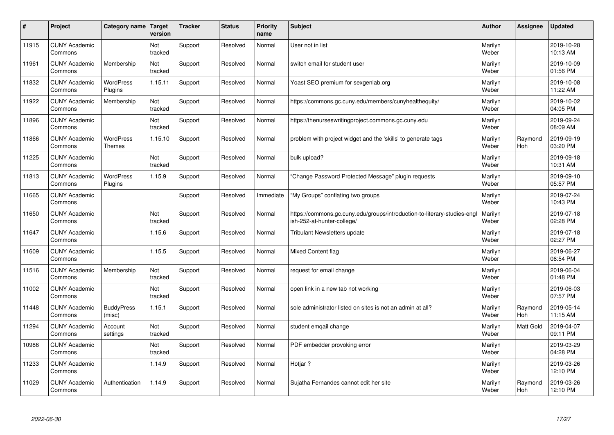| #     | Project                         | Category name               | Target<br>version | <b>Tracker</b> | <b>Status</b> | <b>Priority</b><br>name | <b>Subject</b>                                                                                         | <b>Author</b>    | Assignee       | <b>Updated</b>         |
|-------|---------------------------------|-----------------------------|-------------------|----------------|---------------|-------------------------|--------------------------------------------------------------------------------------------------------|------------------|----------------|------------------------|
| 11915 | <b>CUNY Academic</b><br>Commons |                             | Not<br>tracked    | Support        | Resolved      | Normal                  | User not in list                                                                                       | Marilyn<br>Weber |                | 2019-10-28<br>10:13 AM |
| 11961 | <b>CUNY Academic</b><br>Commons | Membership                  | Not<br>tracked    | Support        | Resolved      | Normal                  | switch email for student user                                                                          | Marilyn<br>Weber |                | 2019-10-09<br>01:56 PM |
| 11832 | <b>CUNY Academic</b><br>Commons | <b>WordPress</b><br>Plugins | 1.15.11           | Support        | Resolved      | Normal                  | Yoast SEO premium for sexgenlab.org                                                                    | Marilyn<br>Weber |                | 2019-10-08<br>11:22 AM |
| 11922 | <b>CUNY Academic</b><br>Commons | Membership                  | Not<br>tracked    | Support        | Resolved      | Normal                  | https://commons.gc.cuny.edu/members/cunyhealthequity/                                                  | Marilyn<br>Weber |                | 2019-10-02<br>04:05 PM |
| 11896 | <b>CUNY Academic</b><br>Commons |                             | Not<br>tracked    | Support        | Resolved      | Normal                  | https://thenurseswritingproject.commons.gc.cuny.edu                                                    | Marilyn<br>Weber |                | 2019-09-24<br>08:09 AM |
| 11866 | <b>CUNY Academic</b><br>Commons | <b>WordPress</b><br>Themes  | 1.15.10           | Support        | Resolved      | Normal                  | problem with project widget and the 'skills' to generate tags                                          | Marilyn<br>Weber | Raymond<br>Hoh | 2019-09-19<br>03:20 PM |
| 11225 | <b>CUNY Academic</b><br>Commons |                             | Not<br>tracked    | Support        | Resolved      | Normal                  | bulk upload?                                                                                           | Marilyn<br>Weber |                | 2019-09-18<br>10:31 AM |
| 11813 | <b>CUNY Academic</b><br>Commons | <b>WordPress</b><br>Plugins | 1.15.9            | Support        | Resolved      | Normal                  | 'Change Password Protected Message" plugin requests                                                    | Marilyn<br>Weber |                | 2019-09-10<br>05:57 PM |
| 11665 | <b>CUNY Academic</b><br>Commons |                             |                   | Support        | Resolved      | Immediate               | "My Groups" conflating two groups                                                                      | Marilyn<br>Weber |                | 2019-07-24<br>10:43 PM |
| 11650 | <b>CUNY Academic</b><br>Commons |                             | Not<br>tracked    | Support        | Resolved      | Normal                  | https://commons.gc.cuny.edu/groups/introduction-to-literary-studies-engl<br>ish-252-at-hunter-college/ | Marilyn<br>Weber |                | 2019-07-18<br>02:28 PM |
| 11647 | <b>CUNY Academic</b><br>Commons |                             | 1.15.6            | Support        | Resolved      | Normal                  | Tribulant Newsletters update                                                                           | Marilyn<br>Weber |                | 2019-07-18<br>02:27 PM |
| 11609 | <b>CUNY Academic</b><br>Commons |                             | 1.15.5            | Support        | Resolved      | Normal                  | <b>Mixed Content flag</b>                                                                              | Marilyn<br>Weber |                | 2019-06-27<br>06:54 PM |
| 11516 | <b>CUNY Academic</b><br>Commons | Membership                  | Not<br>tracked    | Support        | Resolved      | Normal                  | request for email change                                                                               | Marilyn<br>Weber |                | 2019-06-04<br>01:48 PM |
| 11002 | <b>CUNY Academic</b><br>Commons |                             | Not<br>tracked    | Support        | Resolved      | Normal                  | open link in a new tab not working                                                                     | Marilyn<br>Weber |                | 2019-06-03<br>07:57 PM |
| 11448 | <b>CUNY Academic</b><br>Commons | <b>BuddyPress</b><br>(misc) | 1.15.1            | Support        | Resolved      | Normal                  | sole administrator listed on sites is not an admin at all?                                             | Marilyn<br>Weber | Raymond<br>Hoh | 2019-05-14<br>11:15 AM |
| 11294 | <b>CUNY Academic</b><br>Commons | Account<br>settings         | Not<br>tracked    | Support        | Resolved      | Normal                  | student emgail change                                                                                  | Marilyn<br>Weber | Matt Gold      | 2019-04-07<br>09:11 PM |
| 10986 | <b>CUNY Academic</b><br>Commons |                             | Not<br>tracked    | Support        | Resolved      | Normal                  | PDF embedder provoking error                                                                           | Marilyn<br>Weber |                | 2019-03-29<br>04:28 PM |
| 11233 | <b>CUNY Academic</b><br>Commons |                             | 1.14.9            | Support        | Resolved      | Normal                  | Hotjar?                                                                                                | Marilyn<br>Weber |                | 2019-03-26<br>12:10 PM |
| 11029 | <b>CUNY Academic</b><br>Commons | Authentication              | 1.14.9            | Support        | Resolved      | Normal                  | Sujatha Fernandes cannot edit her site                                                                 | Marilyn<br>Weber | Raymond<br>Hoh | 2019-03-26<br>12:10 PM |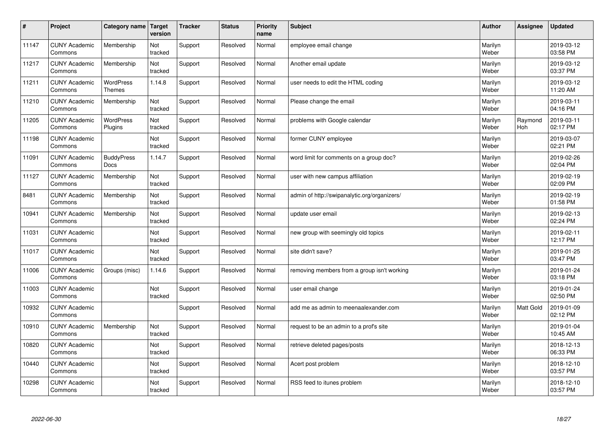| $\sharp$ | Project                         | Category name                     | Target<br>version | <b>Tracker</b> | <b>Status</b> | <b>Priority</b><br>name | <b>Subject</b>                               | <b>Author</b>    | Assignee       | <b>Updated</b>         |
|----------|---------------------------------|-----------------------------------|-------------------|----------------|---------------|-------------------------|----------------------------------------------|------------------|----------------|------------------------|
| 11147    | <b>CUNY Academic</b><br>Commons | Membership                        | Not<br>tracked    | Support        | Resolved      | Normal                  | employee email change                        | Marilyn<br>Weber |                | 2019-03-12<br>03:58 PM |
| 11217    | <b>CUNY Academic</b><br>Commons | Membership                        | Not<br>tracked    | Support        | Resolved      | Normal                  | Another email update                         | Marilyn<br>Weber |                | 2019-03-12<br>03:37 PM |
| 11211    | <b>CUNY Academic</b><br>Commons | <b>WordPress</b><br><b>Themes</b> | 1.14.8            | Support        | Resolved      | Normal                  | user needs to edit the HTML coding           | Marilyn<br>Weber |                | 2019-03-12<br>11:20 AM |
| 11210    | <b>CUNY Academic</b><br>Commons | Membership                        | Not<br>tracked    | Support        | Resolved      | Normal                  | Please change the email                      | Marilyn<br>Weber |                | 2019-03-11<br>04:16 PM |
| 11205    | <b>CUNY Academic</b><br>Commons | <b>WordPress</b><br>Plugins       | Not<br>tracked    | Support        | Resolved      | Normal                  | problems with Google calendar                | Marilyn<br>Weber | Raymond<br>Hoh | 2019-03-11<br>02:17 PM |
| 11198    | <b>CUNY Academic</b><br>Commons |                                   | Not<br>tracked    | Support        | Resolved      | Normal                  | former CUNY employee                         | Marilyn<br>Weber |                | 2019-03-07<br>02:21 PM |
| 11091    | <b>CUNY Academic</b><br>Commons | <b>BuddyPress</b><br>Docs         | 1.14.7            | Support        | Resolved      | Normal                  | word limit for comments on a group doc?      | Marilyn<br>Weber |                | 2019-02-26<br>02:04 PM |
| 11127    | <b>CUNY Academic</b><br>Commons | Membership                        | Not<br>tracked    | Support        | Resolved      | Normal                  | user with new campus affiliation             | Marilyn<br>Weber |                | 2019-02-19<br>02:09 PM |
| 8481     | <b>CUNY Academic</b><br>Commons | Membership                        | Not<br>tracked    | Support        | Resolved      | Normal                  | admin of http://swipanalytic.org/organizers/ | Marilyn<br>Weber |                | 2019-02-19<br>01:58 PM |
| 10941    | <b>CUNY Academic</b><br>Commons | Membership                        | Not<br>tracked    | Support        | Resolved      | Normal                  | update user email                            | Marilyn<br>Weber |                | 2019-02-13<br>02:24 PM |
| 11031    | <b>CUNY Academic</b><br>Commons |                                   | Not<br>tracked    | Support        | Resolved      | Normal                  | new group with seemingly old topics          | Marilyn<br>Weber |                | 2019-02-11<br>12:17 PM |
| 11017    | <b>CUNY Academic</b><br>Commons |                                   | Not<br>tracked    | Support        | Resolved      | Normal                  | site didn't save?                            | Marilyn<br>Weber |                | 2019-01-25<br>03:47 PM |
| 11006    | <b>CUNY Academic</b><br>Commons | Groups (misc)                     | 1.14.6            | Support        | Resolved      | Normal                  | removing members from a group isn't working  | Marilyn<br>Weber |                | 2019-01-24<br>03:18 PM |
| 11003    | <b>CUNY Academic</b><br>Commons |                                   | Not<br>tracked    | Support        | Resolved      | Normal                  | user email change                            | Marilyn<br>Weber |                | 2019-01-24<br>02:50 PM |
| 10932    | <b>CUNY Academic</b><br>Commons |                                   |                   | Support        | Resolved      | Normal                  | add me as admin to meenaalexander.com        | Marilyn<br>Weber | Matt Gold      | 2019-01-09<br>02:12 PM |
| 10910    | <b>CUNY Academic</b><br>Commons | Membership                        | Not<br>tracked    | Support        | Resolved      | Normal                  | request to be an admin to a prof's site      | Marilyn<br>Weber |                | 2019-01-04<br>10:45 AM |
| 10820    | <b>CUNY Academic</b><br>Commons |                                   | Not<br>tracked    | Support        | Resolved      | Normal                  | retrieve deleted pages/posts                 | Marilyn<br>Weber |                | 2018-12-13<br>06:33 PM |
| 10440    | <b>CUNY Academic</b><br>Commons |                                   | Not<br>tracked    | Support        | Resolved      | Normal                  | Acert post problem                           | Marilyn<br>Weber |                | 2018-12-10<br>03:57 PM |
| 10298    | <b>CUNY Academic</b><br>Commons |                                   | Not<br>tracked    | Support        | Resolved      | Normal                  | RSS feed to itunes problem                   | Marilyn<br>Weber |                | 2018-12-10<br>03:57 PM |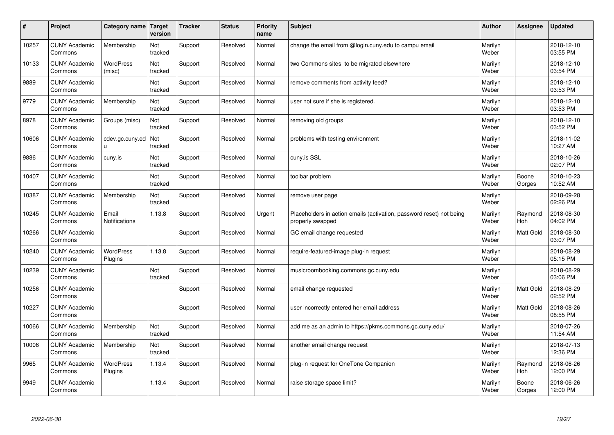| #     | Project                         | Category name                 | Target<br>version | <b>Tracker</b> | <b>Status</b> | <b>Priority</b><br>name | <b>Subject</b>                                                                           | <b>Author</b>    | Assignee        | <b>Updated</b>         |
|-------|---------------------------------|-------------------------------|-------------------|----------------|---------------|-------------------------|------------------------------------------------------------------------------------------|------------------|-----------------|------------------------|
| 10257 | <b>CUNY Academic</b><br>Commons | Membership                    | Not<br>tracked    | Support        | Resolved      | Normal                  | change the email from @login.cuny.edu to campu email                                     | Marilyn<br>Weber |                 | 2018-12-10<br>03:55 PM |
| 10133 | <b>CUNY Academic</b><br>Commons | <b>WordPress</b><br>(misc)    | Not<br>tracked    | Support        | Resolved      | Normal                  | two Commons sites to be migrated elsewhere                                               | Marilyn<br>Weber |                 | 2018-12-10<br>03:54 PM |
| 9889  | <b>CUNY Academic</b><br>Commons |                               | Not<br>tracked    | Support        | Resolved      | Normal                  | remove comments from activity feed?                                                      | Marilyn<br>Weber |                 | 2018-12-10<br>03:53 PM |
| 9779  | <b>CUNY Academic</b><br>Commons | Membership                    | Not<br>tracked    | Support        | Resolved      | Normal                  | user not sure if she is registered.                                                      | Marilyn<br>Weber |                 | 2018-12-10<br>03:53 PM |
| 8978  | <b>CUNY Academic</b><br>Commons | Groups (misc)                 | Not<br>tracked    | Support        | Resolved      | Normal                  | removing old groups                                                                      | Marilyn<br>Weber |                 | 2018-12-10<br>03:52 PM |
| 10606 | <b>CUNY Academic</b><br>Commons | cdev.gc.cuny.ed<br>u.         | Not<br>tracked    | Support        | Resolved      | Normal                  | problems with testing environment                                                        | Marilyn<br>Weber |                 | 2018-11-02<br>10:27 AM |
| 9886  | <b>CUNY Academic</b><br>Commons | cuny.is                       | Not<br>tracked    | Support        | Resolved      | Normal                  | cuny.is SSL                                                                              | Marilyn<br>Weber |                 | 2018-10-26<br>02:07 PM |
| 10407 | <b>CUNY Academic</b><br>Commons |                               | Not<br>tracked    | Support        | Resolved      | Normal                  | toolbar problem                                                                          | Marilyn<br>Weber | Boone<br>Gorges | 2018-10-23<br>10:52 AM |
| 10387 | <b>CUNY Academic</b><br>Commons | Membership                    | Not<br>tracked    | Support        | Resolved      | Normal                  | remove user page                                                                         | Marilyn<br>Weber |                 | 2018-09-28<br>02:26 PM |
| 10245 | <b>CUNY Academic</b><br>Commons | Email<br><b>Notifications</b> | 1.13.8            | Support        | Resolved      | Urgent                  | Placeholders in action emails (activation, password reset) not being<br>properly swapped | Marilyn<br>Weber | Raymond<br>Hoh  | 2018-08-30<br>04:02 PM |
| 10266 | <b>CUNY Academic</b><br>Commons |                               |                   | Support        | Resolved      | Normal                  | GC email change requested                                                                | Marilyn<br>Weber | Matt Gold       | 2018-08-30<br>03:07 PM |
| 10240 | <b>CUNY Academic</b><br>Commons | <b>WordPress</b><br>Plugins   | 1.13.8            | Support        | Resolved      | Normal                  | require-featured-image plug-in request                                                   | Marilyn<br>Weber |                 | 2018-08-29<br>05:15 PM |
| 10239 | <b>CUNY Academic</b><br>Commons |                               | Not<br>tracked    | Support        | Resolved      | Normal                  | musicroombooking.commons.gc.cuny.edu                                                     | Marilyn<br>Weber |                 | 2018-08-29<br>03:06 PM |
| 10256 | <b>CUNY Academic</b><br>Commons |                               |                   | Support        | Resolved      | Normal                  | email change requested                                                                   | Marilyn<br>Weber | Matt Gold       | 2018-08-29<br>02:52 PM |
| 10227 | <b>CUNY Academic</b><br>Commons |                               |                   | Support        | Resolved      | Normal                  | user incorrectly entered her email address                                               | Marilyn<br>Weber | Matt Gold       | 2018-08-26<br>08:55 PM |
| 10066 | <b>CUNY Academic</b><br>Commons | Membership                    | Not<br>tracked    | Support        | Resolved      | Normal                  | add me as an admin to https://pkms.commons.gc.cuny.edu/                                  | Marilyn<br>Weber |                 | 2018-07-26<br>11:54 AM |
| 10006 | <b>CUNY Academic</b><br>Commons | Membership                    | Not<br>tracked    | Support        | Resolved      | Normal                  | another email change request                                                             | Marilyn<br>Weber |                 | 2018-07-13<br>12:36 PM |
| 9965  | <b>CUNY Academic</b><br>Commons | <b>WordPress</b><br>Plugins   | 1.13.4            | Support        | Resolved      | Normal                  | plug-in request for OneTone Companion                                                    | Marilyn<br>Weber | Raymond<br>Hoh  | 2018-06-26<br>12:00 PM |
| 9949  | <b>CUNY Academic</b><br>Commons |                               | 1.13.4            | Support        | Resolved      | Normal                  | raise storage space limit?                                                               | Marilyn<br>Weber | Boone<br>Gorges | 2018-06-26<br>12:00 PM |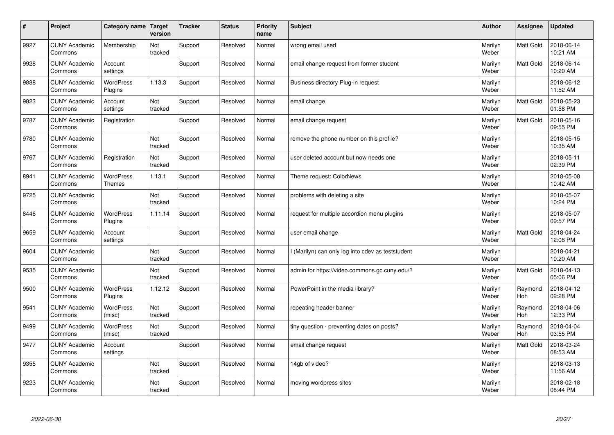| $\sharp$ | Project                         | Category name               | Target<br>version | <b>Tracker</b> | <b>Status</b> | <b>Priority</b><br>name | <b>Subject</b>                                    | <b>Author</b>    | Assignee              | Updated                |
|----------|---------------------------------|-----------------------------|-------------------|----------------|---------------|-------------------------|---------------------------------------------------|------------------|-----------------------|------------------------|
| 9927     | <b>CUNY Academic</b><br>Commons | Membership                  | Not<br>tracked    | Support        | Resolved      | Normal                  | wrong email used                                  | Marilyn<br>Weber | <b>Matt Gold</b>      | 2018-06-14<br>10:21 AM |
| 9928     | <b>CUNY Academic</b><br>Commons | Account<br>settings         |                   | Support        | Resolved      | Normal                  | email change request from former student          | Marilyn<br>Weber | Matt Gold             | 2018-06-14<br>10:20 AM |
| 9888     | <b>CUNY Academic</b><br>Commons | <b>WordPress</b><br>Plugins | 1.13.3            | Support        | Resolved      | Normal                  | Business directory Plug-in request                | Marilyn<br>Weber |                       | 2018-06-12<br>11:52 AM |
| 9823     | <b>CUNY Academic</b><br>Commons | Account<br>settings         | Not<br>tracked    | Support        | Resolved      | Normal                  | email change                                      | Marilyn<br>Weber | <b>Matt Gold</b>      | 2018-05-23<br>01:58 PM |
| 9787     | <b>CUNY Academic</b><br>Commons | Registration                |                   | Support        | Resolved      | Normal                  | email change request                              | Marilyn<br>Weber | Matt Gold             | 2018-05-16<br>09:55 PM |
| 9780     | <b>CUNY Academic</b><br>Commons |                             | Not<br>tracked    | Support        | Resolved      | Normal                  | remove the phone number on this profile?          | Marilyn<br>Weber |                       | 2018-05-15<br>10:35 AM |
| 9767     | <b>CUNY Academic</b><br>Commons | Registration                | Not<br>tracked    | Support        | Resolved      | Normal                  | user deleted account but now needs one            | Marilyn<br>Weber |                       | 2018-05-11<br>02:39 PM |
| 8941     | <b>CUNY Academic</b><br>Commons | WordPress<br><b>Themes</b>  | 1.13.1            | Support        | Resolved      | Normal                  | Theme request: ColorNews                          | Marilyn<br>Weber |                       | 2018-05-08<br>10:42 AM |
| 9725     | <b>CUNY Academic</b><br>Commons |                             | Not<br>tracked    | Support        | Resolved      | Normal                  | problems with deleting a site                     | Marilyn<br>Weber |                       | 2018-05-07<br>10:24 PM |
| 8446     | <b>CUNY Academic</b><br>Commons | <b>WordPress</b><br>Plugins | 1.11.14           | Support        | Resolved      | Normal                  | request for multiple accordion menu plugins       | Marilyn<br>Weber |                       | 2018-05-07<br>09:57 PM |
| 9659     | <b>CUNY Academic</b><br>Commons | Account<br>settings         |                   | Support        | Resolved      | Normal                  | user email change                                 | Marilyn<br>Weber | Matt Gold             | 2018-04-24<br>12:08 PM |
| 9604     | <b>CUNY Academic</b><br>Commons |                             | Not<br>tracked    | Support        | Resolved      | Normal                  | I (Marilyn) can only log into cdev as teststudent | Marilyn<br>Weber |                       | 2018-04-21<br>10:20 AM |
| 9535     | <b>CUNY Academic</b><br>Commons |                             | Not<br>tracked    | Support        | Resolved      | Normal                  | admin for https://video.commons.gc.cuny.edu/?     | Marilyn<br>Weber | <b>Matt Gold</b>      | 2018-04-13<br>05:06 PM |
| 9500     | <b>CUNY Academic</b><br>Commons | <b>WordPress</b><br>Plugins | 1.12.12           | Support        | Resolved      | Normal                  | PowerPoint in the media library?                  | Marilyn<br>Weber | Raymond<br>Hoh        | 2018-04-12<br>02:28 PM |
| 9541     | <b>CUNY Academic</b><br>Commons | WordPress<br>(misc)         | Not<br>tracked    | Support        | Resolved      | Normal                  | repeating header banner                           | Marilyn<br>Weber | Raymond<br>Hoh        | 2018-04-06<br>12:33 PM |
| 9499     | <b>CUNY Academic</b><br>Commons | WordPress<br>(misc)         | Not<br>tracked    | Support        | Resolved      | Normal                  | tiny question - preventing dates on posts?        | Marilyn<br>Weber | Raymond<br><b>Hoh</b> | 2018-04-04<br>03:55 PM |
| 9477     | <b>CUNY Academic</b><br>Commons | Account<br>settings         |                   | Support        | Resolved      | Normal                  | email change request                              | Marilyn<br>Weber | <b>Matt Gold</b>      | 2018-03-24<br>08:53 AM |
| 9355     | <b>CUNY Academic</b><br>Commons |                             | Not<br>tracked    | Support        | Resolved      | Normal                  | 14gb of video?                                    | Marilyn<br>Weber |                       | 2018-03-13<br>11:56 AM |
| 9223     | <b>CUNY Academic</b><br>Commons |                             | Not<br>tracked    | Support        | Resolved      | Normal                  | moving wordpress sites                            | Marilyn<br>Weber |                       | 2018-02-18<br>08:44 PM |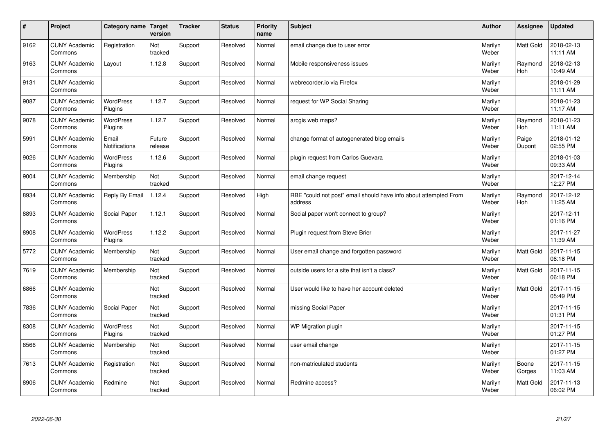| $\sharp$ | Project                         | Category name   Target      | version           | <b>Tracker</b> | <b>Status</b> | <b>Priority</b><br>name | <b>Subject</b>                                                              | <b>Author</b>    | Assignee              | <b>Updated</b>         |
|----------|---------------------------------|-----------------------------|-------------------|----------------|---------------|-------------------------|-----------------------------------------------------------------------------|------------------|-----------------------|------------------------|
| 9162     | <b>CUNY Academic</b><br>Commons | Registration                | Not<br>tracked    | Support        | Resolved      | Normal                  | email change due to user error                                              | Marilyn<br>Weber | <b>Matt Gold</b>      | 2018-02-13<br>11:11 AM |
| 9163     | <b>CUNY Academic</b><br>Commons | Layout                      | 1.12.8            | Support        | Resolved      | Normal                  | Mobile responsiveness issues                                                | Marilyn<br>Weber | Raymond<br><b>Hoh</b> | 2018-02-13<br>10:49 AM |
| 9131     | <b>CUNY Academic</b><br>Commons |                             |                   | Support        | Resolved      | Normal                  | webrecorder.io via Firefox                                                  | Marilyn<br>Weber |                       | 2018-01-29<br>11:11 AM |
| 9087     | <b>CUNY Academic</b><br>Commons | <b>WordPress</b><br>Plugins | 1.12.7            | Support        | Resolved      | Normal                  | request for WP Social Sharing                                               | Marilyn<br>Weber |                       | 2018-01-23<br>11:17 AM |
| 9078     | <b>CUNY Academic</b><br>Commons | <b>WordPress</b><br>Plugins | 1.12.7            | Support        | Resolved      | Normal                  | arcgis web maps?                                                            | Marilyn<br>Weber | Raymond<br>Hoh        | 2018-01-23<br>11:11 AM |
| 5991     | <b>CUNY Academic</b><br>Commons | Email<br>Notifications      | Future<br>release | Support        | Resolved      | Normal                  | change format of autogenerated blog emails                                  | Marilyn<br>Weber | Paige<br>Dupont       | 2018-01-12<br>02:55 PM |
| 9026     | <b>CUNY Academic</b><br>Commons | <b>WordPress</b><br>Plugins | 1.12.6            | Support        | Resolved      | Normal                  | plugin request from Carlos Guevara                                          | Marilyn<br>Weber |                       | 2018-01-03<br>09:33 AM |
| 9004     | <b>CUNY Academic</b><br>Commons | Membership                  | Not<br>tracked    | Support        | Resolved      | Normal                  | email change request                                                        | Marilyn<br>Weber |                       | 2017-12-14<br>12:27 PM |
| 8934     | <b>CUNY Academic</b><br>Commons | Reply By Email              | 1.12.4            | Support        | Resolved      | High                    | RBE "could not post" email should have info about attempted From<br>address | Marilyn<br>Weber | Raymond<br><b>Hoh</b> | 2017-12-12<br>11:25 AM |
| 8893     | <b>CUNY Academic</b><br>Commons | Social Paper                | 1.12.1            | Support        | Resolved      | Normal                  | Social paper won't connect to group?                                        | Marilyn<br>Weber |                       | 2017-12-11<br>01:16 PM |
| 8908     | <b>CUNY Academic</b><br>Commons | WordPress<br>Plugins        | 1.12.2            | Support        | Resolved      | Normal                  | Plugin request from Steve Brier                                             | Marilyn<br>Weber |                       | 2017-11-27<br>11:39 AM |
| 5772     | <b>CUNY Academic</b><br>Commons | Membership                  | Not<br>tracked    | Support        | Resolved      | Normal                  | User email change and forgotten password                                    | Marilyn<br>Weber | <b>Matt Gold</b>      | 2017-11-15<br>06:18 PM |
| 7619     | <b>CUNY Academic</b><br>Commons | Membership                  | Not<br>tracked    | Support        | Resolved      | Normal                  | outside users for a site that isn't a class?                                | Marilyn<br>Weber | Matt Gold             | 2017-11-15<br>06:18 PM |
| 6866     | <b>CUNY Academic</b><br>Commons |                             | Not<br>tracked    | Support        | Resolved      | Normal                  | User would like to have her account deleted                                 | Marilyn<br>Weber | Matt Gold             | 2017-11-15<br>05:49 PM |
| 7836     | <b>CUNY Academic</b><br>Commons | Social Paper                | Not<br>tracked    | Support        | Resolved      | Normal                  | missing Social Paper                                                        | Marilyn<br>Weber |                       | 2017-11-15<br>01:31 PM |
| 8308     | <b>CUNY Academic</b><br>Commons | <b>WordPress</b><br>Plugins | Not<br>tracked    | Support        | Resolved      | Normal                  | WP Migration plugin                                                         | Marilyn<br>Weber |                       | 2017-11-15<br>01:27 PM |
| 8566     | <b>CUNY Academic</b><br>Commons | Membership                  | Not<br>tracked    | Support        | Resolved      | Normal                  | user email change                                                           | Marilyn<br>Weber |                       | 2017-11-15<br>01:27 PM |
| 7613     | <b>CUNY Academic</b><br>Commons | Registration                | Not<br>tracked    | Support        | Resolved      | Normal                  | non-matriculated students                                                   | Marilyn<br>Weber | Boone<br>Gorges       | 2017-11-15<br>11:03 AM |
| 8906     | <b>CUNY Academic</b><br>Commons | Redmine                     | Not<br>tracked    | Support        | Resolved      | Normal                  | Redmine access?                                                             | Marilyn<br>Weber | <b>Matt Gold</b>      | 2017-11-13<br>06:02 PM |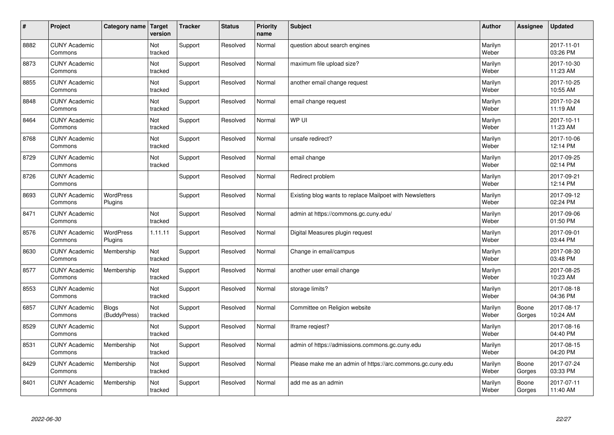| $\sharp$ | Project                         | Category name                | Target<br>version | <b>Tracker</b> | <b>Status</b> | <b>Priority</b><br>name | <b>Subject</b>                                             | <b>Author</b>    | Assignee        | <b>Updated</b>         |
|----------|---------------------------------|------------------------------|-------------------|----------------|---------------|-------------------------|------------------------------------------------------------|------------------|-----------------|------------------------|
| 8882     | <b>CUNY Academic</b><br>Commons |                              | Not<br>tracked    | Support        | Resolved      | Normal                  | question about search engines                              | Marilyn<br>Weber |                 | 2017-11-01<br>03:26 PM |
| 8873     | <b>CUNY Academic</b><br>Commons |                              | Not<br>tracked    | Support        | Resolved      | Normal                  | maximum file upload size?                                  | Marilyn<br>Weber |                 | 2017-10-30<br>11:23 AM |
| 8855     | <b>CUNY Academic</b><br>Commons |                              | Not<br>tracked    | Support        | Resolved      | Normal                  | another email change request                               | Marilyn<br>Weber |                 | 2017-10-25<br>10:55 AM |
| 8848     | <b>CUNY Academic</b><br>Commons |                              | Not<br>tracked    | Support        | Resolved      | Normal                  | email change request                                       | Marilyn<br>Weber |                 | 2017-10-24<br>11:19 AM |
| 8464     | <b>CUNY Academic</b><br>Commons |                              | Not<br>tracked    | Support        | Resolved      | Normal                  | WP UI                                                      | Marilyn<br>Weber |                 | 2017-10-11<br>11:23 AM |
| 8768     | <b>CUNY Academic</b><br>Commons |                              | Not<br>tracked    | Support        | Resolved      | Normal                  | unsafe redirect?                                           | Marilyn<br>Weber |                 | 2017-10-06<br>12:14 PM |
| 8729     | <b>CUNY Academic</b><br>Commons |                              | Not<br>tracked    | Support        | Resolved      | Normal                  | email change                                               | Marilyn<br>Weber |                 | 2017-09-25<br>02:14 PM |
| 8726     | <b>CUNY Academic</b><br>Commons |                              |                   | Support        | Resolved      | Normal                  | Redirect problem                                           | Marilyn<br>Weber |                 | 2017-09-21<br>12:14 PM |
| 8693     | <b>CUNY Academic</b><br>Commons | <b>WordPress</b><br>Plugins  |                   | Support        | Resolved      | Normal                  | Existing blog wants to replace Mailpoet with Newsletters   | Marilyn<br>Weber |                 | 2017-09-12<br>02:24 PM |
| 8471     | <b>CUNY Academic</b><br>Commons |                              | Not<br>tracked    | Support        | Resolved      | Normal                  | admin at https://commons.gc.cuny.edu/                      | Marilyn<br>Weber |                 | 2017-09-06<br>01:50 PM |
| 8576     | <b>CUNY Academic</b><br>Commons | <b>WordPress</b><br>Plugins  | 1.11.11           | Support        | Resolved      | Normal                  | Digital Measures plugin request                            | Marilyn<br>Weber |                 | 2017-09-01<br>03:44 PM |
| 8630     | <b>CUNY Academic</b><br>Commons | Membership                   | Not<br>tracked    | Support        | Resolved      | Normal                  | Change in email/campus                                     | Marilyn<br>Weber |                 | 2017-08-30<br>03:48 PM |
| 8577     | <b>CUNY Academic</b><br>Commons | Membership                   | Not<br>tracked    | Support        | Resolved      | Normal                  | another user email change                                  | Marilyn<br>Weber |                 | 2017-08-25<br>10:23 AM |
| 8553     | <b>CUNY Academic</b><br>Commons |                              | Not<br>tracked    | Support        | Resolved      | Normal                  | storage limits?                                            | Marilyn<br>Weber |                 | 2017-08-18<br>04:36 PM |
| 6857     | <b>CUNY Academic</b><br>Commons | <b>Blogs</b><br>(BuddyPress) | Not<br>tracked    | Support        | Resolved      | Normal                  | Committee on Religion website                              | Marilyn<br>Weber | Boone<br>Gorges | 2017-08-17<br>10:24 AM |
| 8529     | <b>CUNY Academic</b><br>Commons |                              | Not<br>tracked    | Support        | Resolved      | Normal                  | Iframe reqiest?                                            | Marilyn<br>Weber |                 | 2017-08-16<br>04:40 PM |
| 8531     | <b>CUNY Academic</b><br>Commons | Membership                   | Not<br>tracked    | Support        | Resolved      | Normal                  | admin of https://admissions.commons.gc.cuny.edu            | Marilyn<br>Weber |                 | 2017-08-15<br>04:20 PM |
| 8429     | <b>CUNY Academic</b><br>Commons | Membership                   | Not<br>tracked    | Support        | Resolved      | Normal                  | Please make me an admin of https://arc.commons.gc.cuny.edu | Marilyn<br>Weber | Boone<br>Gorges | 2017-07-24<br>03:33 PM |
| 8401     | <b>CUNY Academic</b><br>Commons | Membership                   | Not<br>tracked    | Support        | Resolved      | Normal                  | add me as an admin                                         | Marilyn<br>Weber | Boone<br>Gorges | 2017-07-11<br>11:40 AM |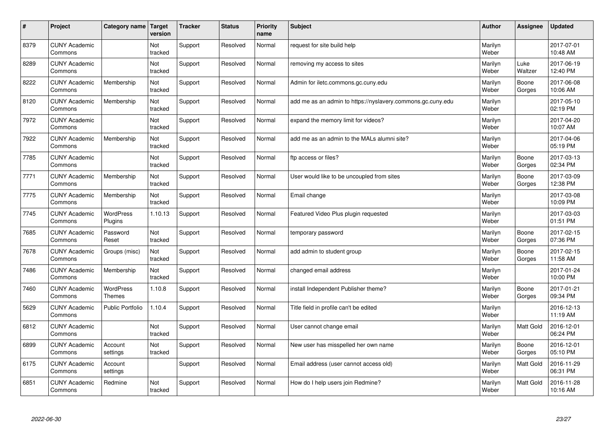| $\sharp$ | Project                         | Category name   Target      | version        | <b>Tracker</b> | <b>Status</b> | <b>Priority</b><br>name | <b>Subject</b>                                              | <b>Author</b>    | Assignee         | <b>Updated</b>         |
|----------|---------------------------------|-----------------------------|----------------|----------------|---------------|-------------------------|-------------------------------------------------------------|------------------|------------------|------------------------|
| 8379     | <b>CUNY Academic</b><br>Commons |                             | Not<br>tracked | Support        | Resolved      | Normal                  | request for site build help                                 | Marilyn<br>Weber |                  | 2017-07-01<br>10:48 AM |
| 8289     | <b>CUNY Academic</b><br>Commons |                             | Not<br>tracked | Support        | Resolved      | Normal                  | removing my access to sites                                 | Marilyn<br>Weber | Luke<br>Waltzer  | 2017-06-19<br>12:40 PM |
| 8222     | <b>CUNY Academic</b><br>Commons | Membership                  | Not<br>tracked | Support        | Resolved      | Normal                  | Admin for iletc.commons.gc.cuny.edu                         | Marilyn<br>Weber | Boone<br>Gorges  | 2017-06-08<br>10:06 AM |
| 8120     | <b>CUNY Academic</b><br>Commons | Membership                  | Not<br>tracked | Support        | Resolved      | Normal                  | add me as an admin to https://nyslavery.commons.gc.cuny.edu | Marilyn<br>Weber |                  | 2017-05-10<br>02:19 PM |
| 7972     | <b>CUNY Academic</b><br>Commons |                             | Not<br>tracked | Support        | Resolved      | Normal                  | expand the memory limit for videos?                         | Marilyn<br>Weber |                  | 2017-04-20<br>10:07 AM |
| 7922     | <b>CUNY Academic</b><br>Commons | Membership                  | Not<br>tracked | Support        | Resolved      | Normal                  | add me as an admin to the MALs alumni site?                 | Marilyn<br>Weber |                  | 2017-04-06<br>05:19 PM |
| 7785     | <b>CUNY Academic</b><br>Commons |                             | Not<br>tracked | Support        | Resolved      | Normal                  | ftp access or files?                                        | Marilyn<br>Weber | Boone<br>Gorges  | 2017-03-13<br>02:34 PM |
| 7771     | <b>CUNY Academic</b><br>Commons | Membership                  | Not<br>tracked | Support        | Resolved      | Normal                  | User would like to be uncoupled from sites                  | Marilyn<br>Weber | Boone<br>Gorges  | 2017-03-09<br>12:38 PM |
| 7775     | <b>CUNY Academic</b><br>Commons | Membership                  | Not<br>tracked | Support        | Resolved      | Normal                  | Email change                                                | Marilyn<br>Weber |                  | 2017-03-08<br>10:09 PM |
| 7745     | <b>CUNY Academic</b><br>Commons | <b>WordPress</b><br>Plugins | 1.10.13        | Support        | Resolved      | Normal                  | Featured Video Plus plugin requested                        | Marilyn<br>Weber |                  | 2017-03-03<br>01:51 PM |
| 7685     | <b>CUNY Academic</b><br>Commons | Password<br>Reset           | Not<br>tracked | Support        | Resolved      | Normal                  | temporary password                                          | Marilyn<br>Weber | Boone<br>Gorges  | 2017-02-15<br>07:36 PM |
| 7678     | <b>CUNY Academic</b><br>Commons | Groups (misc)               | Not<br>tracked | Support        | Resolved      | Normal                  | add admin to student group                                  | Marilyn<br>Weber | Boone<br>Gorges  | 2017-02-15<br>11:58 AM |
| 7486     | <b>CUNY Academic</b><br>Commons | Membership                  | Not<br>tracked | Support        | Resolved      | Normal                  | changed email address                                       | Marilyn<br>Weber |                  | 2017-01-24<br>10:00 PM |
| 7460     | <b>CUNY Academic</b><br>Commons | WordPress<br><b>Themes</b>  | 1.10.8         | Support        | Resolved      | Normal                  | install Independent Publisher theme?                        | Marilyn<br>Weber | Boone<br>Gorges  | 2017-01-21<br>09:34 PM |
| 5629     | <b>CUNY Academic</b><br>Commons | Public Portfolio            | 1.10.4         | Support        | Resolved      | Normal                  | Title field in profile can't be edited                      | Marilyn<br>Weber |                  | 2016-12-13<br>11:19 AM |
| 6812     | <b>CUNY Academic</b><br>Commons |                             | Not<br>tracked | Support        | Resolved      | Normal                  | User cannot change email                                    | Marilyn<br>Weber | <b>Matt Gold</b> | 2016-12-01<br>06:24 PM |
| 6899     | <b>CUNY Academic</b><br>Commons | Account<br>settings         | Not<br>tracked | Support        | Resolved      | Normal                  | New user has misspelled her own name                        | Marilyn<br>Weber | Boone<br>Gorges  | 2016-12-01<br>05:10 PM |
| 6175     | <b>CUNY Academic</b><br>Commons | Account<br>settings         |                | Support        | Resolved      | Normal                  | Email address (user cannot access old)                      | Marilyn<br>Weber | Matt Gold        | 2016-11-29<br>06:31 PM |
| 6851     | <b>CUNY Academic</b><br>Commons | Redmine                     | Not<br>tracked | Support        | Resolved      | Normal                  | How do I help users join Redmine?                           | Marilyn<br>Weber | <b>Matt Gold</b> | 2016-11-28<br>10:16 AM |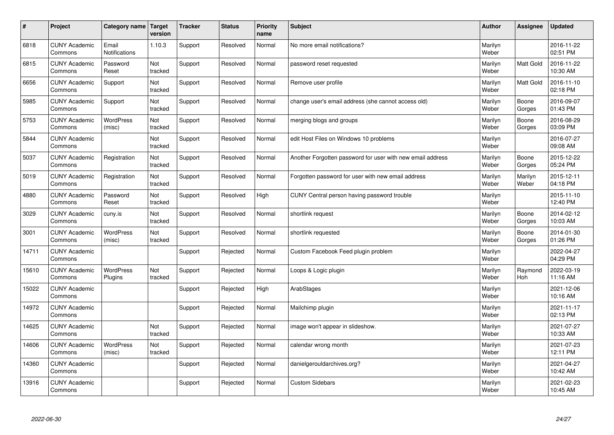| $\vert$ # | Project                         | Category name Target       | version        | <b>Tracker</b> | <b>Status</b> | <b>Priority</b><br>name | <b>Subject</b>                                             | <b>Author</b>    | Assignee         | <b>Updated</b>         |
|-----------|---------------------------------|----------------------------|----------------|----------------|---------------|-------------------------|------------------------------------------------------------|------------------|------------------|------------------------|
| 6818      | <b>CUNY Academic</b><br>Commons | Email<br>Notifications     | 1.10.3         | Support        | Resolved      | Normal                  | No more email notifications?                               | Marilyn<br>Weber |                  | 2016-11-22<br>02:51 PM |
| 6815      | <b>CUNY Academic</b><br>Commons | Password<br>Reset          | Not<br>tracked | Support        | Resolved      | Normal                  | password reset requested                                   | Marilyn<br>Weber | Matt Gold        | 2016-11-22<br>10:30 AM |
| 6656      | <b>CUNY Academic</b><br>Commons | Support                    | Not<br>tracked | Support        | Resolved      | Normal                  | Remove user profile                                        | Marilyn<br>Weber | <b>Matt Gold</b> | 2016-11-10<br>02:18 PM |
| 5985      | <b>CUNY Academic</b><br>Commons | Support                    | Not<br>tracked | Support        | Resolved      | Normal                  | change user's email address (she cannot access old)        | Marilyn<br>Weber | Boone<br>Gorges  | 2016-09-07<br>01:43 PM |
| 5753      | <b>CUNY Academic</b><br>Commons | <b>WordPress</b><br>(misc) | Not<br>tracked | Support        | Resolved      | Normal                  | merging blogs and groups                                   | Marilyn<br>Weber | Boone<br>Gorges  | 2016-08-29<br>03:09 PM |
| 5844      | <b>CUNY Academic</b><br>Commons |                            | Not<br>tracked | Support        | Resolved      | Normal                  | edit Host Files on Windows 10 problems                     | Marilyn<br>Weber |                  | 2016-07-27<br>09:08 AM |
| 5037      | <b>CUNY Academic</b><br>Commons | Registration               | Not<br>tracked | Support        | Resolved      | Normal                  | Another Forgotten password for user with new email address | Marilyn<br>Weber | Boone<br>Gorges  | 2015-12-22<br>05:24 PM |
| 5019      | <b>CUNY Academic</b><br>Commons | Registration               | Not<br>tracked | Support        | Resolved      | Normal                  | Forgotten password for user with new email address         | Marilyn<br>Weber | Marilyn<br>Weber | 2015-12-11<br>04:18 PM |
| 4880      | <b>CUNY Academic</b><br>Commons | Password<br>Reset          | Not<br>tracked | Support        | Resolved      | High                    | CUNY Central person having password trouble                | Marilyn<br>Weber |                  | 2015-11-10<br>12:40 PM |
| 3029      | <b>CUNY Academic</b><br>Commons | cuny.is                    | Not<br>tracked | Support        | Resolved      | Normal                  | shortlink request                                          | Marilyn<br>Weber | Boone<br>Gorges  | 2014-02-12<br>10:03 AM |
| 3001      | <b>CUNY Academic</b><br>Commons | WordPress<br>(misc)        | Not<br>tracked | Support        | Resolved      | Normal                  | shortlink requested                                        | Marilyn<br>Weber | Boone<br>Gorges  | 2014-01-30<br>01:26 PM |
| 14711     | <b>CUNY Academic</b><br>Commons |                            |                | Support        | Rejected      | Normal                  | Custom Facebook Feed plugin problem                        | Marilyn<br>Weber |                  | 2022-04-27<br>04:29 PM |
| 15610     | <b>CUNY Academic</b><br>Commons | WordPress<br>Plugins       | Not<br>tracked | Support        | Rejected      | Normal                  | Loops & Logic plugin                                       | Marilyn<br>Weber | Raymond<br>Hoh   | 2022-03-19<br>11:16 AM |
| 15022     | <b>CUNY Academic</b><br>Commons |                            |                | Support        | Rejected      | High                    | ArabStages                                                 | Marilyn<br>Weber |                  | 2021-12-06<br>10:16 AM |
| 14972     | <b>CUNY Academic</b><br>Commons |                            |                | Support        | Rejected      | Normal                  | Mailchimp plugin                                           | Marilyn<br>Weber |                  | 2021-11-17<br>02:13 PM |
| 14625     | <b>CUNY Academic</b><br>Commons |                            | Not<br>tracked | Support        | Rejected      | Normal                  | image won't appear in slideshow.                           | Marilyn<br>Weber |                  | 2021-07-27<br>10:33 AM |
| 14606     | <b>CUNY Academic</b><br>Commons | WordPress<br>(misc)        | Not<br>tracked | Support        | Rejected      | Normal                  | calendar wrong month                                       | Marilyn<br>Weber |                  | 2021-07-23<br>12:11 PM |
| 14360     | <b>CUNY Academic</b><br>Commons |                            |                | Support        | Rejected      | Normal                  | danielgerouldarchives.org?                                 | Marilyn<br>Weber |                  | 2021-04-27<br>10:42 AM |
| 13916     | <b>CUNY Academic</b><br>Commons |                            |                | Support        | Rejected      | Normal                  | <b>Custom Sidebars</b>                                     | Marilyn<br>Weber |                  | 2021-02-23<br>10:45 AM |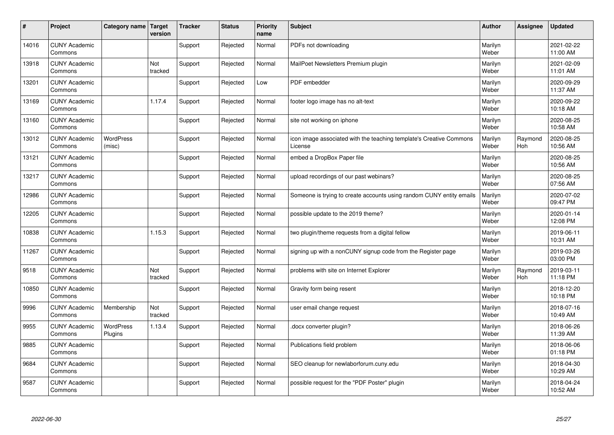| #     | Project                         | Category name   Target     | version        | <b>Tracker</b> | <b>Status</b> | <b>Priority</b><br>name | <b>Subject</b>                                                                 | <b>Author</b>    | Assignee       | <b>Updated</b>         |
|-------|---------------------------------|----------------------------|----------------|----------------|---------------|-------------------------|--------------------------------------------------------------------------------|------------------|----------------|------------------------|
| 14016 | <b>CUNY Academic</b><br>Commons |                            |                | Support        | Rejected      | Normal                  | PDFs not downloading                                                           | Marilyn<br>Weber |                | 2021-02-22<br>11:00 AM |
| 13918 | <b>CUNY Academic</b><br>Commons |                            | Not<br>tracked | Support        | Rejected      | Normal                  | MailPoet Newsletters Premium plugin                                            | Marilyn<br>Weber |                | 2021-02-09<br>11:01 AM |
| 13201 | <b>CUNY Academic</b><br>Commons |                            |                | Support        | Rejected      | Low                     | PDF embedder                                                                   | Marilyn<br>Weber |                | 2020-09-29<br>11:37 AM |
| 13169 | <b>CUNY Academic</b><br>Commons |                            | 1.17.4         | Support        | Rejected      | Normal                  | footer logo image has no alt-text                                              | Marilyn<br>Weber |                | 2020-09-22<br>10:18 AM |
| 13160 | <b>CUNY Academic</b><br>Commons |                            |                | Support        | Rejected      | Normal                  | site not working on iphone                                                     | Marilyn<br>Weber |                | 2020-08-25<br>10:58 AM |
| 13012 | <b>CUNY Academic</b><br>Commons | <b>WordPress</b><br>(misc) |                | Support        | Rejected      | Normal                  | icon image associated with the teaching template's Creative Commons<br>License | Marilyn<br>Weber | Raymond<br>Hoh | 2020-08-25<br>10:56 AM |
| 13121 | <b>CUNY Academic</b><br>Commons |                            |                | Support        | Rejected      | Normal                  | embed a DropBox Paper file                                                     | Marilyn<br>Weber |                | 2020-08-25<br>10:56 AM |
| 13217 | <b>CUNY Academic</b><br>Commons |                            |                | Support        | Rejected      | Normal                  | upload recordings of our past webinars?                                        | Marilyn<br>Weber |                | 2020-08-25<br>07:56 AM |
| 12986 | <b>CUNY Academic</b><br>Commons |                            |                | Support        | Rejected      | Normal                  | Someone is trying to create accounts using random CUNY entity emails           | Marilyn<br>Weber |                | 2020-07-02<br>09:47 PM |
| 12205 | <b>CUNY Academic</b><br>Commons |                            |                | Support        | Rejected      | Normal                  | possible update to the 2019 theme?                                             | Marilyn<br>Weber |                | 2020-01-14<br>12:08 PM |
| 10838 | <b>CUNY Academic</b><br>Commons |                            | 1.15.3         | Support        | Rejected      | Normal                  | two plugin/theme requests from a digital fellow                                | Marilyn<br>Weber |                | 2019-06-11<br>10:31 AM |
| 11267 | <b>CUNY Academic</b><br>Commons |                            |                | Support        | Rejected      | Normal                  | signing up with a nonCUNY signup code from the Register page                   | Marilyn<br>Weber |                | 2019-03-26<br>03:00 PM |
| 9518  | <b>CUNY Academic</b><br>Commons |                            | Not<br>tracked | Support        | Rejected      | Normal                  | problems with site on Internet Explorer                                        | Marilyn<br>Weber | Raymond<br>Hoh | 2019-03-11<br>11:18 PM |
| 10850 | <b>CUNY Academic</b><br>Commons |                            |                | Support        | Rejected      | Normal                  | Gravity form being resent                                                      | Marilyn<br>Weber |                | 2018-12-20<br>10:18 PM |
| 9996  | <b>CUNY Academic</b><br>Commons | Membership                 | Not<br>tracked | Support        | Rejected      | Normal                  | user email change request                                                      | Marilyn<br>Weber |                | 2018-07-16<br>10:49 AM |
| 9955  | <b>CUNY Academic</b><br>Commons | WordPress<br>Plugins       | 1.13.4         | Support        | Rejected      | Normal                  | docx converter plugin?                                                         | Marilyn<br>Weber |                | 2018-06-26<br>11:39 AM |
| 9885  | <b>CUNY Academic</b><br>Commons |                            |                | Support        | Rejected      | Normal                  | Publications field problem                                                     | Marilyn<br>Weber |                | 2018-06-06<br>01:18 PM |
| 9684  | <b>CUNY Academic</b><br>Commons |                            |                | Support        | Rejected      | Normal                  | SEO cleanup for newlaborforum.cuny.edu                                         | Marilyn<br>Weber |                | 2018-04-30<br>10:29 AM |
| 9587  | <b>CUNY Academic</b><br>Commons |                            |                | Support        | Rejected      | Normal                  | possible request for the "PDF Poster" plugin                                   | Marilyn<br>Weber |                | 2018-04-24<br>10:52 AM |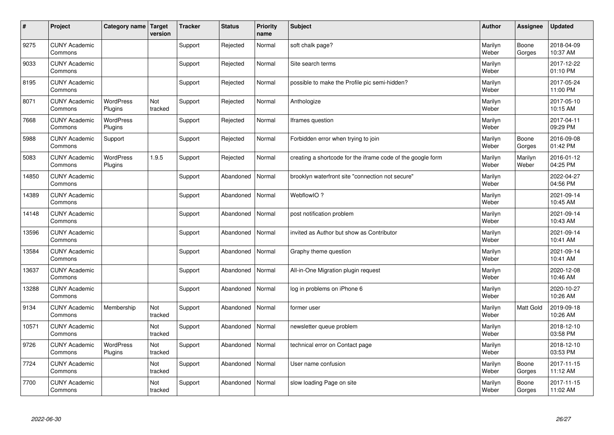| $\vert$ # | Project                         | Category name               | Target<br>version | <b>Tracker</b> | <b>Status</b> | <b>Priority</b><br>name | <b>Subject</b>                                              | <b>Author</b>    | Assignee         | <b>Updated</b>         |
|-----------|---------------------------------|-----------------------------|-------------------|----------------|---------------|-------------------------|-------------------------------------------------------------|------------------|------------------|------------------------|
| 9275      | <b>CUNY Academic</b><br>Commons |                             |                   | Support        | Rejected      | Normal                  | soft chalk page?                                            | Marilyn<br>Weber | Boone<br>Gorges  | 2018-04-09<br>10:37 AM |
| 9033      | <b>CUNY Academic</b><br>Commons |                             |                   | Support        | Rejected      | Normal                  | Site search terms                                           | Marilyn<br>Weber |                  | 2017-12-22<br>01:10 PM |
| 8195      | <b>CUNY Academic</b><br>Commons |                             |                   | Support        | Rejected      | Normal                  | possible to make the Profile pic semi-hidden?               | Marilyn<br>Weber |                  | 2017-05-24<br>11:00 PM |
| 8071      | <b>CUNY Academic</b><br>Commons | WordPress<br>Plugins        | Not<br>tracked    | Support        | Rejected      | Normal                  | Anthologize                                                 | Marilyn<br>Weber |                  | 2017-05-10<br>10:15 AM |
| 7668      | <b>CUNY Academic</b><br>Commons | <b>WordPress</b><br>Plugins |                   | Support        | Rejected      | Normal                  | Iframes question                                            | Marilyn<br>Weber |                  | 2017-04-11<br>09:29 PM |
| 5988      | <b>CUNY Academic</b><br>Commons | Support                     |                   | Support        | Rejected      | Normal                  | Forbidden error when trying to join                         | Marilyn<br>Weber | Boone<br>Gorges  | 2016-09-08<br>01:42 PM |
| 5083      | <b>CUNY Academic</b><br>Commons | WordPress<br>Plugins        | 1.9.5             | Support        | Rejected      | Normal                  | creating a shortcode for the iframe code of the google form | Marilyn<br>Weber | Marilyn<br>Weber | 2016-01-12<br>04:25 PM |
| 14850     | <b>CUNY Academic</b><br>Commons |                             |                   | Support        | Abandoned     | Normal                  | brooklyn waterfront site "connection not secure"            | Marilyn<br>Weber |                  | 2022-04-27<br>04:56 PM |
| 14389     | <b>CUNY Academic</b><br>Commons |                             |                   | Support        | Abandoned     | Normal                  | WebflowIO?                                                  | Marilyn<br>Weber |                  | 2021-09-14<br>10:45 AM |
| 14148     | <b>CUNY Academic</b><br>Commons |                             |                   | Support        | Abandoned     | Normal                  | post notification problem                                   | Marilyn<br>Weber |                  | 2021-09-14<br>10:43 AM |
| 13596     | <b>CUNY Academic</b><br>Commons |                             |                   | Support        | Abandoned     | Normal                  | invited as Author but show as Contributor                   | Marilyn<br>Weber |                  | 2021-09-14<br>10:41 AM |
| 13584     | <b>CUNY Academic</b><br>Commons |                             |                   | Support        | Abandoned     | Normal                  | Graphy theme question                                       | Marilyn<br>Weber |                  | 2021-09-14<br>10:41 AM |
| 13637     | <b>CUNY Academic</b><br>Commons |                             |                   | Support        | Abandoned     | Normal                  | All-in-One Migration plugin request                         | Marilyn<br>Weber |                  | 2020-12-08<br>10:46 AM |
| 13288     | <b>CUNY Academic</b><br>Commons |                             |                   | Support        | Abandoned     | Normal                  | log in problems on iPhone 6                                 | Marilyn<br>Weber |                  | 2020-10-27<br>10:26 AM |
| 9134      | <b>CUNY Academic</b><br>Commons | Membership                  | Not<br>tracked    | Support        | Abandoned     | Normal                  | former user                                                 | Marilyn<br>Weber | Matt Gold        | 2019-09-18<br>10:26 AM |
| 10571     | <b>CUNY Academic</b><br>Commons |                             | Not<br>tracked    | Support        | Abandoned     | Normal                  | newsletter queue problem                                    | Marilyn<br>Weber |                  | 2018-12-10<br>03:58 PM |
| 9726      | <b>CUNY Academic</b><br>Commons | <b>WordPress</b><br>Plugins | Not<br>tracked    | Support        | Abandoned     | Normal                  | technical error on Contact page                             | Marilyn<br>Weber |                  | 2018-12-10<br>03:53 PM |
| 7724      | <b>CUNY Academic</b><br>Commons |                             | Not<br>tracked    | Support        | Abandoned     | Normal                  | User name confusion                                         | Marilyn<br>Weber | Boone<br>Gorges  | 2017-11-15<br>11:12 AM |
| 7700      | <b>CUNY Academic</b><br>Commons |                             | Not<br>tracked    | Support        | Abandoned     | Normal                  | slow loading Page on site                                   | Marilyn<br>Weber | Boone<br>Gorges  | 2017-11-15<br>11:02 AM |